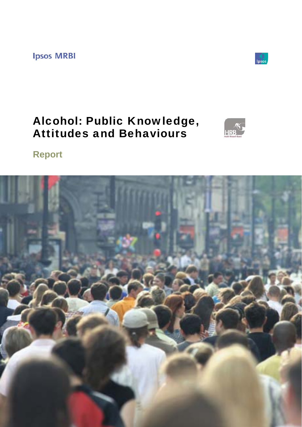**Ipsos MRBI** 



# Alcohol: Public Knowledge, Attitudes and Behaviours



**Report** 

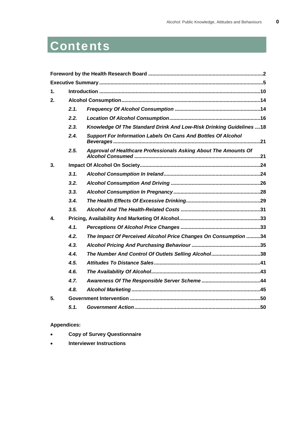# Contents

| 1.               |      |                                                                      |  |
|------------------|------|----------------------------------------------------------------------|--|
| 2.               |      |                                                                      |  |
|                  | 2.1. |                                                                      |  |
|                  | 2.2. |                                                                      |  |
|                  | 2.3. | Knowledge Of The Standard Drink And Low-Risk Drinking Guidelines18   |  |
|                  | 2.4. | <b>Support For Information Labels On Cans And Bottles Of Alcohol</b> |  |
|                  | 2.5. | Approval of Healthcare Professionals Asking About The Amounts Of     |  |
| 3.               |      |                                                                      |  |
|                  | 3.1. |                                                                      |  |
|                  | 3.2. |                                                                      |  |
|                  | 3.3. |                                                                      |  |
|                  | 3.4. |                                                                      |  |
|                  | 3.5. |                                                                      |  |
| $\blacktriangle$ |      |                                                                      |  |
|                  | 4.1. |                                                                      |  |
|                  | 4.2. | The Impact Of Perceived Alcohol Price Changes On Consumption 34      |  |
|                  | 4.3. |                                                                      |  |
|                  | 4.4. | The Number And Control Of Outlets Selling Alcohol38                  |  |
|                  | 4.5. |                                                                      |  |
|                  | 4.6. |                                                                      |  |
|                  | 4.7. |                                                                      |  |
|                  | 4.8. |                                                                      |  |
| 5.               |      |                                                                      |  |
|                  | 5.1. |                                                                      |  |

**Appendices:** 

- **Copy of Survey Questionnaire**
- **Interviewer Instructions**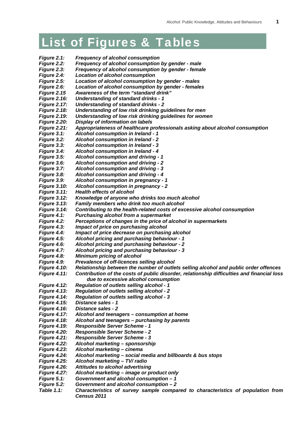## List of Figures & Tables

- *Figure 2.1: Frequency of alcohol consumption*
- *Figure 2.2: Frequency of alcohol consumption by gender male*
- *Figure 2.3: Frequency of alcohol consumption by gender female*
- *Figure 2.4: Location of alcohol consumption*
- *Figure 2.5: Location of alcohol consumption by gender males*
- *Figure 2.6: Location of alcohol consumption by gender females*
- *Figure 2.15 Awareness of the term "standard drink"*
- *Figure 2.16: Understanding of standard drinks 1*
- *Figure 2.17: Understanding of standard drinks 2*
- *Figure 2.18: Understanding of low risk drinking guidelines for men*
- *Figure 2.19: Understanding of low risk drinking guidelines for women*
- *Figure 2.20: Display of information on labels*
- *Figure 2.21: Appropriateness of healthcare professionals asking about alcohol consumption*
- *Figure 3.1: Alcohol consumption in Ireland 1*
- *Figure 3.2: Alcohol consumption in Ireland 2*
- *Figure 3.3: Alcohol consumption in Ireland 3*
- *Figure 3.4: Alcohol consumption in Ireland 4*
- *Figure 3.5: Alcohol consumption and driving 1*
- *Figure 3.6: Alcohol consumption and driving 2*
- *Figure 3.7: Alcohol consumption and driving 3*
- *Figure 3.8: Alcohol consumption and driving 4*
- *Figure 3.9: Alcohol consumption in pregnancy 1*
- *Figure 3.10: Alcohol consumption in pregnancy 2*
- *Figure 3.11: Health effects of alcohol*
- *Figure 3.12: Knowledge of anyone who drinks too much alcohol*
- *Figure 3.13: Family members who drink too much alcohol*
- *Figure 3.14: Contributing to the health-related costs of excessive alcohol consumption*
- *Figure 4.1: Purchasing alcohol from a supermarket*
- *Figure 4.2: Perceptions of changes in the price of alcohol in supermarkets*
- *Figure 4.3: Impact of price on purchasing alcohol*
- *Figure 4.4: Impact of price decrease on purchasing alcohol*
- *Figure 4.5: Alcohol pricing and purchasing behaviour 1*
- *Figure 4.6: Alcohol pricing and purchasing behaviour 2*
- *Figure 4.7: Alcohol pricing and purchasing behaviour 3*
- *Figure 4.8: Minimum pricing of alcohol*
- *Figure 4.9: Prevalence of off-licences selling alcohol*
- *Figure 4.10: Relationship between the number of outlets selling alcohol and public order offences*
- *Figure 4.11: Contribution of the costs of public disorder, relationship difficulties and financial loss* 
	- *due to excessive alcohol consumption*
- *Figure 4.12: Regulation of outlets selling alcohol 1*
- *Figure 4.13: Regulation of outlets selling alcohol 2*
- *Figure 4.14: Regulation of outlets selling alcohol 3*
- *Figure 4.15: Distance sales 1*
- *Figure 4.16: Distance sales 2*
- *Figure 4.17: Alcohol and teenagers consumption at home*
- *Figure 4.18: Alcohol and teenagers purchasing by parents*
- *Figure 4.19: Responsible Server Scheme 1*
- *Figure 4.20: Responsible Server Scheme 2*
- *Figure 4.21: Responsible Server Scheme 3*
- *Figure 4.22: Alcohol marketing sponsorship*
- *Figure 4.23: Alcohol marketing cinema*
- *Figure 4.24: Alcohol marketing social media and billboards & bus stops*
- *Figure 4.25: Alcohol marketing TV/ radio*
- *Figure 4.26: Attitudes to alcohol advertising*
- *Figure 4.27: Alcohol marketing image or product only*
- *Figure 5.1: Government and alcohol consumption 1*
- *Figure 5.2: Government and alcohol consumption 2*
- *Table 1.1: Characteristics of survey sample compared to characteristics of population from Census 2011*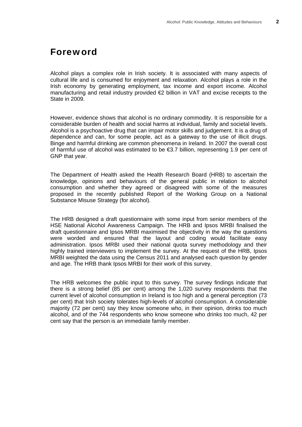### Foreword

Alcohol plays a complex role in Irish society. It is associated with many aspects of cultural life and is consumed for enjoyment and relaxation. Alcohol plays a role in the Irish economy by generating employment, tax income and export income. Alcohol manufacturing and retail industry provided €2 billion in VAT and excise receipts to the State in 2009.

However, evidence shows that alcohol is no ordinary commodity. It is responsible for a considerable burden of health and social harms at individual, family and societal levels. Alcohol is a psychoactive drug that can impair motor skills and judgement. It is a drug of dependence and can, for some people, act as a gateway to the use of illicit drugs. Binge and harmful drinking are common phenomena in Ireland. In 2007 the overall cost of harmful use of alcohol was estimated to be  $\epsilon$ 3.7 billion, representing 1.9 per cent of GNP that year.

The Department of Health asked the Health Research Board (HRB) to ascertain the knowledge, opinions and behaviours of the general public in relation to alcohol consumption and whether they agreed or disagreed with some of the measures proposed in the recently published Report of the Working Group on a National Substance Misuse Strategy (for alcohol).

The HRB designed a draft questionnaire with some input from senior members of the HSE National Alcohol Awareness Campaign. The HRB and Ipsos MRBI finalised the draft questionnaire and Ipsos MRBI maximised the objectivity in the way the questions were worded and ensured that the layout and coding would facilitate easy administration. Ipsos MRBI used their national quota survey methodology and their highly trained interviewers to implement the survey. At the request of the HRB, Ipsos MRBI weighted the data using the Census 2011 and analysed each question by gender and age. The HRB thank Ipsos MRBI for their work of this survey.

The HRB welcomes the public input to this survey. The survey findings indicate that there is a strong belief (85 per cent) among the 1,020 survey respondents that the current level of alcohol consumption in Ireland is too high and a general perception (73 per cent) that Irish society tolerates high-levels of alcohol consumption. A considerable majority (72 per cent) say they know someone who, in their opinion, drinks too much alcohol, and of the 744 respondents who know someone who drinks too much, 42 per cent say that the person is an immediate family member.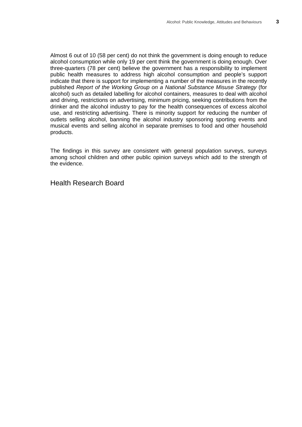Almost 6 out of 10 (58 per cent) do not think the government is doing enough to reduce alcohol consumption while only 19 per cent think the government is doing enough. Over three-quarters (78 per cent) believe the government has a responsibility to implement public health measures to address high alcohol consumption and people's support indicate that there is support for implementing a number of the measures in the recently published *Report of the Working Group on a National Substance Misuse Strategy* (for alcohol) such as detailed labelling for alcohol containers, measures to deal with alcohol and driving, restrictions on advertising, minimum pricing, seeking contributions from the drinker and the alcohol industry to pay for the health consequences of excess alcohol use, and restricting advertising. There is minority support for reducing the number of outlets selling alcohol, banning the alcohol industry sponsoring sporting events and musical events and selling alcohol in separate premises to food and other household products.

The findings in this survey are consistent with general population surveys, surveys among school children and other public opinion surveys which add to the strength of the evidence.

Health Research Board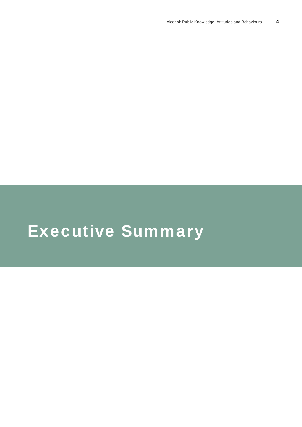# Executive Summary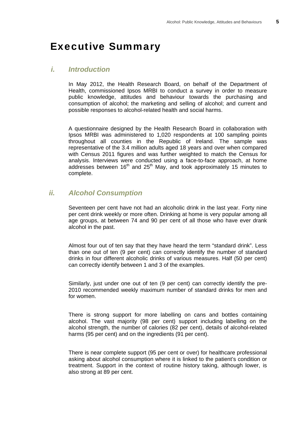### Executive Summary

#### *i. Introduction*

In May 2012, the Health Research Board, on behalf of the Department of Health, commissioned Ipsos MRBI to conduct a survey in order to measure public knowledge, attitudes and behaviour towards the purchasing and consumption of alcohol; the marketing and selling of alcohol; and current and possible responses to alcohol-related health and social harms.

A questionnaire designed by the Health Research Board in collaboration with Ipsos MRBI was administered to 1,020 respondents at 100 sampling points throughout all counties in the Republic of Ireland. The sample was representative of the 3.4 million adults aged 18 years and over when compared with Census 2011 figures and was further weighted to match the Census for analysis. Interviews were conducted using a face-to-face approach, at home addresses between  $16<sup>th</sup>$  and  $25<sup>th</sup>$  May, and took approximately 15 minutes to complete.

#### *ii. Alcohol Consumption*

Seventeen per cent have not had an alcoholic drink in the last year. Forty nine per cent drink weekly or more often. Drinking at home is very popular among all age groups, at between 74 and 90 per cent of all those who have ever drank alcohol in the past.

Almost four out of ten say that they have heard the term "standard drink". Less than one out of ten (9 per cent) can correctly identify the number of standard drinks in four different alcoholic drinks of various measures. Half (50 per cent) can correctly identify between 1 and 3 of the examples.

Similarly, just under one out of ten (9 per cent) can correctly identify the pre-2010 recommended weekly maximum number of standard drinks for men and for women.

There is strong support for more labelling on cans and bottles containing alcohol. The vast majority (98 per cent) support including labelling on the alcohol strength, the number of calories (82 per cent), details of alcohol-related harms (95 per cent) and on the ingredients (91 per cent).

There is near complete support (95 per cent or over) for healthcare professional asking about alcohol consumption where it is linked to the patient's condition or treatment. Support in the context of routine history taking, although lower, is also strong at 89 per cent.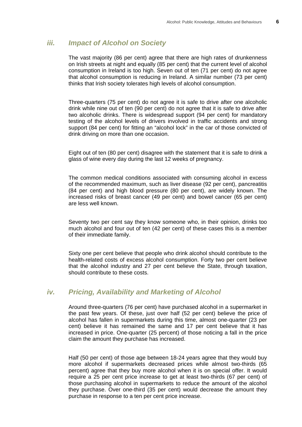#### *iii. Impact of Alcohol on Society*

The vast majority (86 per cent) agree that there are high rates of drunkenness on Irish streets at night and equally (85 per cent) that the current level of alcohol consumption in Ireland is too high. Seven out of ten (71 per cent) do not agree that alcohol consumption is reducing in Ireland. A similar number (73 per cent) thinks that Irish society tolerates high levels of alcohol consumption.

Three-quarters (75 per cent) do not agree it is safe to drive after one alcoholic drink while nine out of ten (90 per cent) do not agree that it is safe to drive after two alcoholic drinks. There is widespread support (94 per cent) for mandatory testing of the alcohol levels of drivers involved in traffic accidents and strong support (84 per cent) for fitting an "alcohol lock" in the car of those convicted of drink driving on more than one occasion.

Eight out of ten (80 per cent) disagree with the statement that it is safe to drink a glass of wine every day during the last 12 weeks of pregnancy.

The common medical conditions associated with consuming alcohol in excess of the recommended maximum, such as liver disease (92 per cent), pancreatitis (84 per cent) and high blood pressure (80 per cent), are widely known. The increased risks of breast cancer (49 per cent) and bowel cancer (65 per cent) are less well known.

Seventy two per cent say they know someone who, in their opinion, drinks too much alcohol and four out of ten (42 per cent) of these cases this is a member of their immediate family.

Sixty one per cent believe that people who drink alcohol should contribute to the health-related costs of excess alcohol consumption. Forty two per cent believe that the alcohol industry and 27 per cent believe the State, through taxation, should contribute to these costs.

#### *iv. Pricing, Availability and Marketing of Alcohol*

Around three-quarters (76 per cent) have purchased alcohol in a supermarket in the past few years. Of these, just over half (52 per cent) believe the price of alcohol has fallen in supermarkets during this time, almost one-quarter (23 per cent) believe it has remained the same and 17 per cent believe that it has increased in price. One-quarter (25 percent) of those noticing a fall in the price claim the amount they purchase has increased.

Half (50 per cent) of those age between 18-24 years agree that they would buy more alcohol if supermarkets decreased prices while almost two-thirds (65 percent) agree that they buy more alcohol when it is on special offer. It would require a 25 per cent price increase to get at least two-thirds (67 per cent) of those purchasing alcohol in supermarkets to reduce the amount of the alcohol they purchase. Over one-third (35 per cent) would decrease the amount they purchase in response to a ten per cent price increase.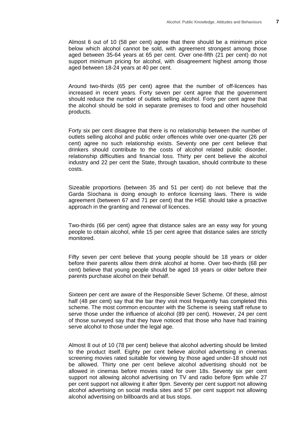Almost 6 out of 10 (58 per cent) agree that there should be a minimum price below which alcohol cannot be sold, with agreement strongest among those aged between 35-64 years at 65 per cent. Over one-fifth (21 per cent) do not support minimum pricing for alcohol, with disagreement highest among those aged between 18-24 years at 40 per cent.

Around two-thirds (65 per cent) agree that the number of off-licences has increased in recent years. Forty seven per cent agree that the government should reduce the number of outlets selling alcohol. Forty per cent agree that the alcohol should be sold in separate premises to food and other household products.

Forty six per cent disagree that there is no relationship between the number of outlets selling alcohol and public order offences while over one-quarter (26 per cent) agree no such relationship exists. Seventy one per cent believe that drinkers should contribute to the costs of alcohol related public disorder, relationship difficulties and financial loss. Thirty per cent believe the alcohol industry and 22 per cent the State, through taxation, should contribute to these costs.

Sizeable proportions (between 35 and 51 per cent) do not believe that the Garda Síochana is doing enough to enforce licensing laws. There is wide agreement (between 67 and 71 per cent) that the HSE should take a proactive approach in the granting and renewal of licences.

Two-thirds (66 per cent) agree that distance sales are an easy way for young people to obtain alcohol, while 15 per cent agree that distance sales are strictly monitored.

Fifty seven per cent believe that young people should be 18 years or older before their parents allow them drink alcohol at home. Over two-thirds (68 per cent) believe that young people should be aged 18 years or older before their parents purchase alcohol on their behalf.

Sixteen per cent are aware of the Responsible Sever Scheme. Of these, almost half (48 per cent) say that the bar they visit most frequently has completed this scheme. The most common encounter with the Scheme is seeing staff refuse to serve those under the influence of alcohol (89 per cent). However, 24 per cent of those surveyed say that they have noticed that those who have had training serve alcohol to those under the legal age.

Almost 8 out of 10 (78 per cent) believe that alcohol adverting should be limited to the product itself. Eighty per cent believe alcohol advertising in cinemas screening movies rated suitable for viewing by those aged under-18 should not be allowed. Thirty one per cent believe alcohol advertising should not be allowed in cinemas before movies rated for over 18s. Seventy six per cent support not allowing alcohol advertising on TV and radio before 9pm while 27 per cent support not allowing it after 9pm. Seventy per cent support not allowing alcohol advertising on social media sites and 57 per cent support not allowing alcohol advertising on billboards and at bus stops.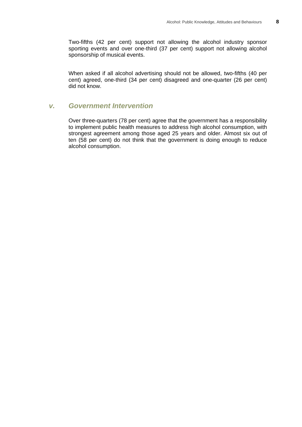Two-fifths (42 per cent) support not allowing the alcohol industry sponsor sporting events and over one-third (37 per cent) support not allowing alcohol sponsorship of musical events.

When asked if all alcohol advertising should not be allowed, two-fifths (40 per cent) agreed, one-third (34 per cent) disagreed and one-quarter (26 per cent) did not know.

#### *v. Government Intervention*

Over three-quarters (78 per cent) agree that the government has a responsibility to implement public health measures to address high alcohol consumption, with strongest agreement among those aged 25 years and older. Almost six out of ten (58 per cent) do not think that the government is doing enough to reduce alcohol consumption.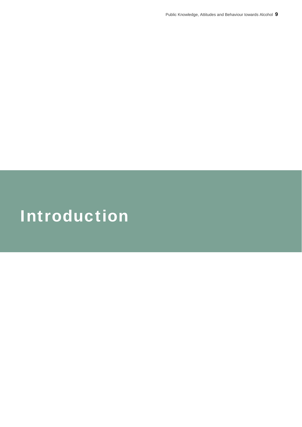# Introduction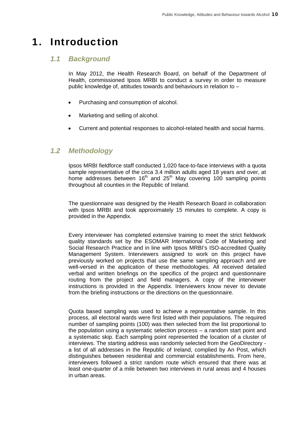## 1. Introduction

### *1.1 Background*

In May 2012, the Health Research Board, on behalf of the Department of Health, commissioned Ipsos MRBI to conduct a survey in order to measure public knowledge of, attitudes towards and behaviours in relation to –

- Purchasing and consumption of alcohol.
- Marketing and selling of alcohol.
- Current and potential responses to alcohol-related health and social harms.

#### *1.2 Methodology*

Ipsos MRBI fieldforce staff conducted 1,020 face-to-face interviews with a quota sample representative of the circa 3.4 million adults aged 18 years and over, at home addresses between  $16<sup>th</sup>$  and  $25<sup>th</sup>$  May covering 100 sampling points throughout all counties in the Republic of Ireland.

The questionnaire was designed by the Health Research Board in collaboration with Ipsos MRBI and took approximately 15 minutes to complete. A copy is provided in the Appendix.

Every interviewer has completed extensive training to meet the strict fieldwork quality standards set by the ESOMAR International Code of Marketing and Social Research Practice and in line with Ipsos MRBI's ISO-accredited Quality Management System. Interviewers assigned to work on this project have previously worked on projects that use the same sampling approach and are well-versed in the application of these methodologies. All received detailed verbal and written briefings on the specifics of the project and questionnaire routing from the project and field managers. A copy of the interviewer instructions is provided in the Appendix. Interviewers know never to deviate from the briefing instructions or the directions on the questionnaire.

Quota based sampling was used to achieve a representative sample. In this process, all electoral wards were first listed with their populations. The required number of sampling points (100) was then selected from the list proportional to the population using a systematic selection process – a random start point and a systematic skip. Each sampling point represented the location of a cluster of interviews. The starting address was randomly selected from the GeoDirectory a list of all addresses in the Republic of Ireland, complied by An Post, which distinguishes between residential and commercial establishments. From here, interviewers followed a strict random route which ensured that there was at least one-quarter of a mile between two interviews in rural areas and 4 houses in urban areas.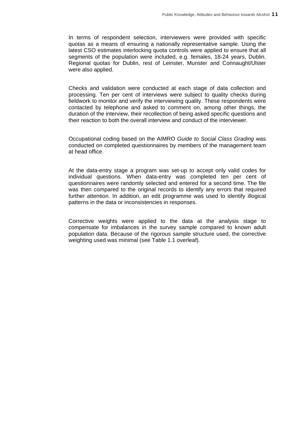In terms of respondent selection, interviewers were provided with specific quotas as a means of ensuring a nationally representative sample. Using the latest CSO estimates interlocking quota controls were applied to ensure that all segments of the population were included, e.g. females, 18-24 years, Dublin. Regional quotas for Dublin, rest of Leinster, Munster and Connaught/Ulster were also applied.

Checks and validation were conducted at each stage of data collection and processing. Ten per cent of interviews were subject to quality checks during fieldwork to monitor and verify the interviewing quality. These respondents were contacted by telephone and asked to comment on, among other things, the duration of the interview, their recollection of being asked specific questions and their reaction to both the overall interview and conduct of the interviewer.

Occupational coding based on the AIMRO *Guide to Social Class Grading* was conducted on completed questionnaires by members of the management team at head office.

At the data-entry stage a program was set-up to accept only valid codes for individual questions. When data-entry was completed ten per cent of questionnaires were randomly selected and entered for a second time. The file was then compared to the original records to identify any errors that required further attention. In addition, an edit programme was used to identify illogical patterns in the data or inconsistencies in responses.

Corrective weights were applied to the data at the analysis stage to compensate for imbalances in the survey sample compared to known adult population data. Because of the rigorous sample structure used, the corrective weighting used was minimal (see Table 1.1 overleaf).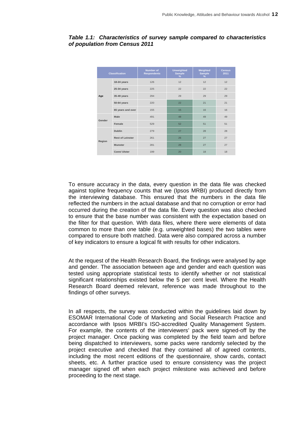| <b>Classification</b> |                         | <b>Number of</b><br><b>Respondents</b> | <b>Unweighted</b><br>Sample<br>$\%$ | Weighted<br><b>Sample</b><br>% | <b>Census</b><br>2011 |
|-----------------------|-------------------------|----------------------------------------|-------------------------------------|--------------------------------|-----------------------|
|                       | 18-24 years             | 126                                    | 12                                  | 12                             | 12                    |
|                       | 25-34 years             | 225                                    | 22                                  | 22                             | 22                    |
| Age                   | 35-49 years             | 294                                    | 29                                  | 29                             | 29                    |
|                       | 50-64 years             | 220                                    | 22                                  | 21                             | 21                    |
|                       | 65 years and over       | 155                                    | 15                                  | 16                             | 16                    |
| Gender                | Male                    | 491                                    | 48                                  | 49                             | 49                    |
|                       | Female                  | 529                                    | 52                                  | 51                             | 51                    |
| Region                | <b>Dublin</b>           | 279                                    | 27                                  | 28                             | 28                    |
|                       | <b>Rest of Leinster</b> | 261                                    | 26                                  | 27                             | 27                    |
|                       | <b>Munster</b>          | 281                                    | 28                                  | 27                             | 27                    |
|                       | Conn/ Ulster            | 199                                    | 20                                  | 18                             | 18                    |

#### *Table 1.1: Characteristics of survey sample compared to characteristics of population from Census 2011*

To ensure accuracy in the data, every question in the data file was checked against topline frequency counts that we (Ipsos MRBI) produced directly from the interviewing database. This ensured that the numbers in the data file reflected the numbers in the actual database and that no corruption or error had occurred during the creation of the data file. Every question was also checked to ensure that the base number was consistent with the expectation based on the filter for that question. With data files, where there were elements of data common to more than one table (e.g. unweighted bases) the two tables were compared to ensure both matched. Data were also compared across a number of key indicators to ensure a logical fit with results for other indicators.

At the request of the Health Research Board, the findings were analysed by age and gender. The association between age and gender and each question was tested using appropriate statistical tests to identify whether or not statistical significant relationships existed below the 5 per cent level. Where the Health Research Board deemed relevant, reference was made throughout to the findings of other surveys.

In all respects, the survey was conducted within the guidelines laid down by ESOMAR International Code of Marketing and Social Research Practice and accordance with Ipsos MRBI's ISO-accredited Quality Management System. For example, the contents of the interviewers' pack were signed-off by the project manager. Once packing was completed by the field team and before being dispatched to interviewers, some packs were randomly selected by the project executive and checked that they contained all of agreed contents, including the most recent editions of the questionnaire, show cards, contact sheets, etc. A further practice used to ensure consistency was the project manager signed off when each project milestone was achieved and before proceeding to the next stage.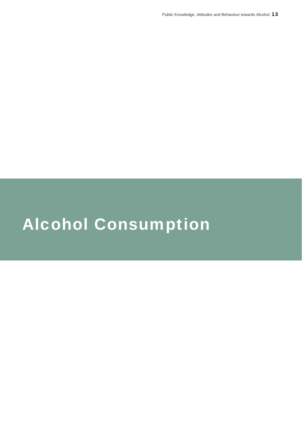# Alcohol Consumption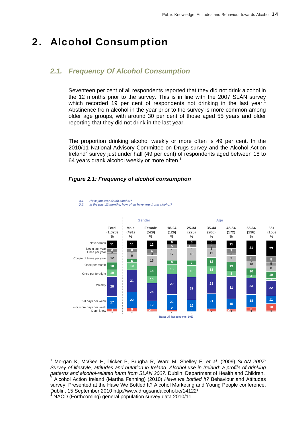## 2. Alcohol Consumption

### *2.1. Frequency Of Alcohol Consumption*

Seventeen per cent of all respondents reported that they did not drink alcohol in the 12 months prior to the survey. This is in line with the 2007 SLÁN survey which recorded 19 per cent of respondents not drinking in the last year.<sup>1</sup> Abstinence from alcohol in the year prior to the survey is more common among older age groups, with around 30 per cent of those aged 55 years and older reporting that they did not drink in the last year.

The proportion drinking alcohol weekly or more often is 49 per cent. In the 2010/11 National Advisory Committee on Drugs survey and the Alcohol Action Ireland<sup>2</sup> survey just under half (49 per cent) of respondents aged between 18 to 64 years drank alcohol weekly or more often. $3$ 



#### *Figure 2.1: Frequency of alcohol consumption*

*Q.2 In the past 12 months, how often have you drunk alcohol?*

*Q.1 Have you ever drunk alcohol?*

l

<sup>1</sup> Morgan K, McGee H, Dicker P, Brugha R, Ward M, Shelley E*, et al.* (2009) *SLAN 2007: Survey of lifestyle, attitudes and nutrition in Ireland. Alcohol use in Ireland: a profile of drinking*  patterns and alcohol-related harm from SLAN 2007. Dublin: Department of Health and Children. Alcohol Action Ireland (Martha Fanning) (2010) *Have we bottled it?* Behaviour and Attitudes survey. Presented at the Have We Bottled It? Alcohol Marketing and Young People conference, Dublin, 15 September 2010 http://www.drugsandalcohol.ie/14122/ 3 NACD (Forthcoming) general population survey data 2010/11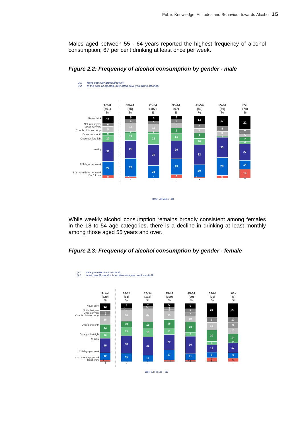Males aged between 55 - 64 years reported the highest frequency of alcohol consumption; 67 per cent drinking at least once per week.





While weekly alcohol consumption remains broadly consistent among females in the 18 to 54 age categories, there is a decline in drinking at least monthly among those aged 55 years and over.





**Base: All Females : 529**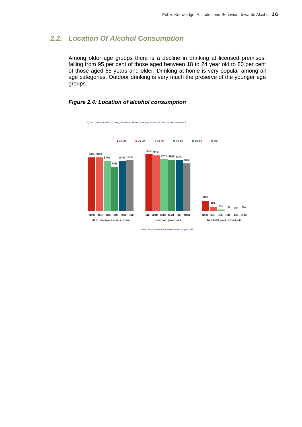#### *2.2. Location Of Alcohol Consumption*

Among older age groups there is a decline in drinking at licensed premises, falling from 95 per cent of those aged between 18 to 24 year old to 80 per cent of those aged 65 years and older. Drinking at home is very popular among all age categories. Outdoor drinking is very much the preserve of the younger age groups.

#### *Figure 2.4: Location of alcohol consumption*



*Q.3a And in which, if any, of these places have you drunk alcohol in the past year?*

**Base: All who have drank alcohol in the last year: 838**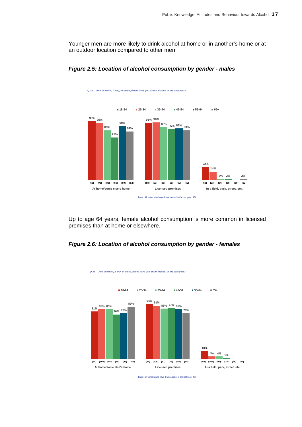Younger men are more likely to drink alcohol at home or in another's home or at an outdoor location compared to other men



*Figure 2.5: Location of alcohol consumption by gender - males* 

<sup>13</sup> *Q.3a And in which, if any, of these places have you drunk alcohol in the past year?*

Up to age 64 years, female alcohol consumption is more common in licensed premises than at home or elsewhere.

#### *Figure 2.6: Location of alcohol consumption by gender - females*



<sup>14</sup> *Q.3a And in which, if any, of these places have you drunk alcohol in the past year?*

**Base: All females who have drank alcohol in the last year: 434**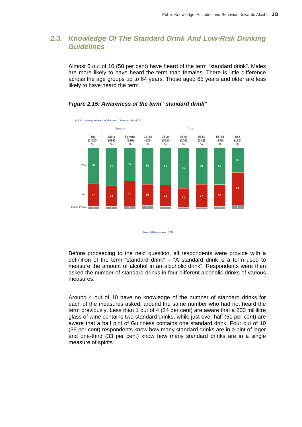#### *2.3. Knowledge Of The Standard Drink And Low-Risk Drinking Guidelines*

Almost 6 out of 10 (58 per cent) have heard of the term "standard drink". Males are more likely to have heard the term than females. There is little difference across the age groups up to 64 years. Those aged 65 years and older are less likely to have heard the term.

#### **4 4 <sup>5</sup> <sup>6</sup> <sup>4</sup> 3 3 <sup>4</sup> <sup>7</sup> <sup>37</sup> <sup>34</sup> <sup>41</sup> <sup>35</sup> <sup>35</sup> <sup>31</sup> <sup>37</sup> <sup>36</sup> 53 <sup>58</sup> <sup>62</sup> <sup>55</sup> <sup>60</sup> <sup>61</sup> <sup>66</sup> 59 60 40** *Q.23 Have you heard of the term "Standard Drink"?*  Yes No Don't know **Total Male Female 18-24 25-34 35-44 45-54 55-64 65+ (1,020) (491) (529) (126) (225) (206) (172) (136) (155) % % %%%%% %% Gender Age**

#### *Figure 2.15: Awareness of the term "standard drink"*

**Base: All Respondents: 1,020**

Before proceeding to the next question, all respondents were provide with a definition of the term "standard drink" – "A standard drink is a term used to measure the amount of alcohol in an alcoholic drink". Respondents were then asked the number of standard drinks in four different alcoholic drinks of various measures.

Around 4 out of 10 have no knowledge of the number of standard drinks for each of the measures asked, around the same number who had not heard the term previously. Less than 1 out of 4 (24 per cent) are aware that a 200 millilitre glass of wine contains two standard drinks, while just over half (51 per cent) are aware that a half pint of Guinness contains one standard drink. Four out of 10 (39 per cent) respondents know how many standard drinks are in a pint of lager and one-third (33 per cent) know how many standard drinks are in a single measure of spirits.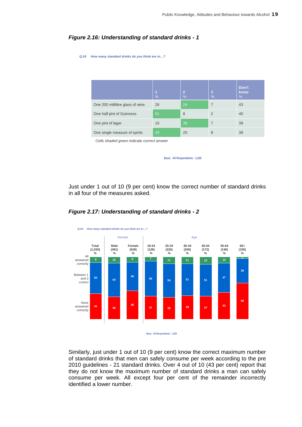| Q.24 | How many standard drinks do you think are in? |           |                     |                |                    |  |  |  |
|------|-----------------------------------------------|-----------|---------------------|----------------|--------------------|--|--|--|
|      |                                               |           |                     |                |                    |  |  |  |
|      |                                               |           |                     |                |                    |  |  |  |
|      |                                               | 1<br>$\%$ | $\overline{2}$<br>% | 3<br>$\%$      | Don't<br>know<br>% |  |  |  |
|      | One 200 millilitre glass of wine              | 26        | 24                  | $\overline{7}$ | 43                 |  |  |  |
|      | One half pint of Guinness                     | 51        | 8                   | $\overline{2}$ | 40                 |  |  |  |
|      | One pint of lager                             | 15        | 39                  | $\overline{7}$ | 39                 |  |  |  |
|      | One single measure of spirits                 | 33        | 20                  | 8              | 39                 |  |  |  |
|      | Calle shadad araan indicata corract answer    |           |                     |                |                    |  |  |  |

#### *Figure 2.16: Understanding of standard drinks - 1*

*Cells shaded green indicate correct answer*

**Base: All Respondents: 1,020**

Just under 1 out of 10 (9 per cent) know the correct number of standard drinks in all four of the measures asked.



#### *Figure 2.17: Understanding of standard drinks - 2*

**Base: All Respondents: 1,020**

Similarly, just under 1 out of 10 (9 per cent) know the correct maximum number of standard drinks that men can safely consume per week according to the pre 2010 guidelines - 21 standard drinks. Over 4 out of 10 (43 per cent) report that they do not know the maximum number of standard drinks a man can safely consume per week. All except four per cent of the remainder incorrectly identified a lower number.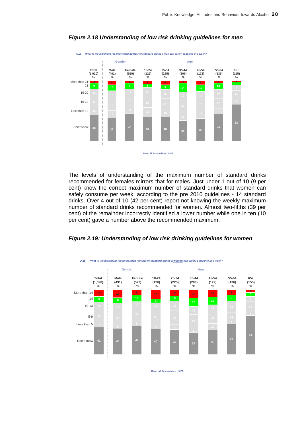

#### *Figure 2.18 Understanding of low risk drinking guidelines for men*

The levels of understanding of the maximum number of standard drinks recommended for females mirrors that for males. Just under 1 out of 10 (9 per cent) know the correct maximum number of standard drinks that women can safely consume per week, according to the pre 2010 guidelines - 14 standard drinks. Over 4 out of 10 (42 per cent) report not knowing the weekly maximum number of standard drinks recommended for women. Almost two-fifths (39 per cent) of the remainder incorrectly identified a lower number while one in ten (10 per cent) gave a number above the recommended maximum.





**Base: All Respondents: 1,020 .**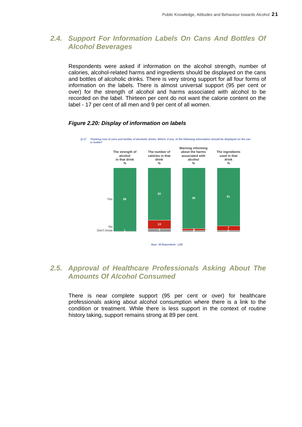#### *2.4. Support For Information Labels On Cans And Bottles Of Alcohol Beverages*

Respondents were asked if information on the alcohol strength, number of calories, alcohol-related harms and ingredients should be displayed on the cans and bottles of alcoholic drinks. There is very strong support for all four forms of information on the labels. There is almost universal support (95 per cent or over) for the strength of alcohol and harms associated with alcohol to be recorded on the label. Thirteen per cent do not want the calorie content on the label - 17 per cent of all men and 9 per cent of all women.



#### *Figure 2.20: Display of information on labels*

#### *2.5. Approval of Healthcare Professionals Asking About The Amounts Of Alcohol Consumed*

There is near complete support (95 per cent or over) for healthcare professionals asking about alcohol consumption where there is a link to the condition or treatment. While there is less support in the context of routine history taking, support remains strong at 89 per cent.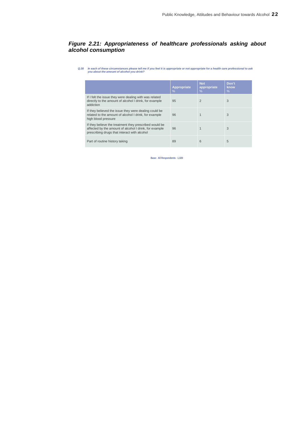#### *Figure 2.21: Appropriateness of healthcare professionals asking about alcohol consumption*

*Q.30 In each of these circumstances please tell me if you feel it is appropriate or not appropriate for a health care professional to ask you about the amount of alcohol you drink?*

|                                                                                                                                                                  | Appropriate<br>$\%$ | <b>Not</b><br>appropriate<br>$\%$ | Don't<br>know<br>$\frac{9}{6}$ |
|------------------------------------------------------------------------------------------------------------------------------------------------------------------|---------------------|-----------------------------------|--------------------------------|
| If I felt the issue they were dealing with was related<br>directly to the amount of alcohol I drink, for example<br>addiction                                    | 95                  | $\overline{2}$                    | 3                              |
| If they believed the issue they were dealing could be<br>related to the amount of alcohol I drink, for example<br>high blood pressure                            | 96                  |                                   | 3                              |
| If they believe the treatment they prescribed would be<br>affected by the amount of alcohol I drink, for example<br>prescribing drugs that interact with alcohol | 96                  |                                   | 3                              |
| Part of routine history taking                                                                                                                                   | 89                  | 6                                 | 5                              |

**Base: All Respondents: 1,020**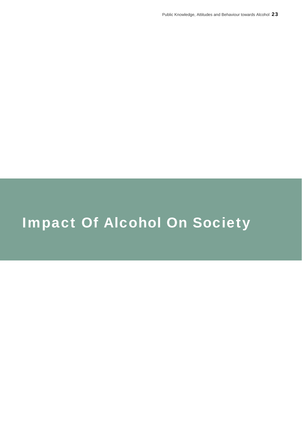# Impact Of Alcohol On Society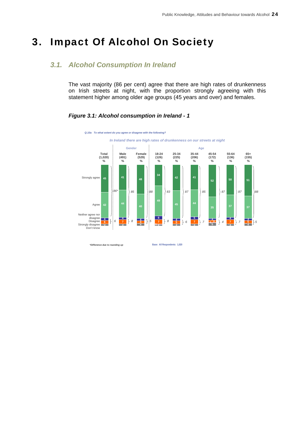## 3. Impact Of Alcohol On Society

### *3.1. Alcohol Consumption In Ireland*

The vast majority (86 per cent) agree that there are high rates of drunkenness on Irish streets at night, with the proportion strongly agreeing with this statement higher among older age groups (45 years and over) and females.

#### $\frac{4}{5}$   $\left[6\frac{4}{3}\right]$   $\left[8\frac{4}{4}\right]$   $\left[5\frac{6}{12}\right]$   $\left[8\frac{4}{5}\right]$   $\left[6\frac{5}{3}\right]$   $\left[7\frac{3}{15}\right]$   $\left[4\frac{4}{5}\right]$   $\left[7\frac{3}{5}\right]$   $\left[7\frac{4}{5}\right]$   $\left[7\frac{4}{5}\right]$   $\left[7\frac{4}{5}\right]$ **<sup>42</sup> <sup>44</sup> <sup>40</sup> <sup>45</sup> <sup>44</sup> <sup>35</sup> <sup>37</sup> <sup>37</sup> <sup>45</sup> <sup>41</sup> <sup>48</sup> <sup>34</sup> <sup>42</sup> <sup>41</sup> 52 50 51** *Q.10a To what extent do you agree or disagree with the following?* Strongly agree Agree Neither agree nor disagree Disagree Strongly disagree Don't know **Total Male Female 18-24 25-34 35-44 45-54 55-64 65+ (1,020) (491) (529) (126) (225) (206) (172) (136) (155) % % %%%%% %% Gender Age** *86\* 6 In Ireland there are high rates of drunkenness on our streets at night 85 8 88 5 83 8 87 85 7 87 4 87 7 88 5*

#### *Figure 3.1: Alcohol consumption in Ireland - 1*

*\*Difference due to rounding up* 

**Base: All Respondents: 1,020**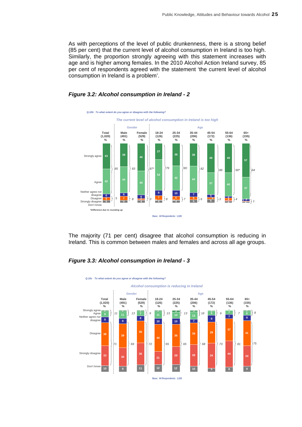As with perceptions of the level of public drunkenness, there is a strong belief (85 per cent) that the current level of alcohol consumption in Ireland is too high. Similarly, the proportion strongly agreeing with this statement increases with age and is higher among females. In the 2010 Alcohol Action Ireland survey, 85 per cent of respondents agreed with the statement 'the current level of alcohol consumption in Ireland is a problem'.





The majority (71 per cent) disagree that alcohol consumption is reducing in Ireland. This is common between males and females and across all age groups.

#### *Figure 3.3: Alcohol consumption in Ireland - 3*

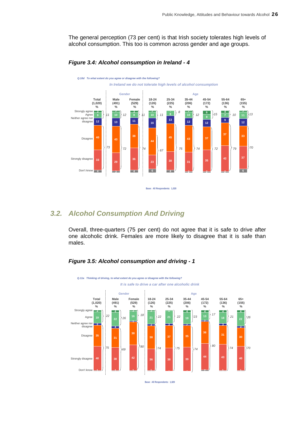The general perception (73 per cent) is that Irish society tolerates high levels of alcohol consumption. This too is common across gender and age groups.



#### *Figure 3.4: Alcohol consumption in Ireland - 4*

#### *3.2. Alcohol Consumption And Driving*

Overall, three-quarters (75 per cent) do not agree that it is safe to drive after one alcoholic drink. Females are more likely to disagree that it is safe than males.

#### *Figure 3.5: Alcohol consumption and driving - 1*



**Base: All Respondents: 1,020**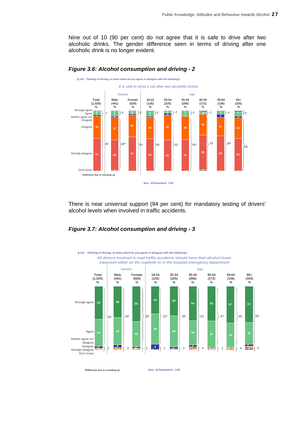Nine out of 10 (90 per cent) do not agree that it is safe to drive after two alcoholic drinks. The gender difference seen in terms of driving after one alcoholic drink is no longer evident.



#### *Figure 3.6: Alcohol consumption and driving - 2*

There is near universal support (94 per cent) for mandatory testing of drivers' alcohol levels when involved in traffic accidents.

#### *Figure 3.7: Alcohol consumption and driving - 3*



*\*Difference due to rounding up* 

**Base: All Respondents: 1,020**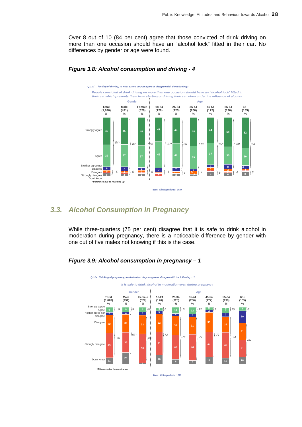Over 8 out of 10 (84 per cent) agree that those convicted of drink driving on more than one occasion should have an "alcohol lock" fitted in their car. No differences by gender or age were found.



#### *Figure 3.8: Alcohol consumption and driving - 4*

#### *3.3. Alcohol Consumption In Pregnancy*

While three-quarters (75 per cent) disagree that it is safe to drink alcohol in moderation during pregnancy, there is a noticeable difference by gender with one out of five males not knowing if this is the case.

#### *Figure 3.9: Alcohol consumption in pregnancy – 1*

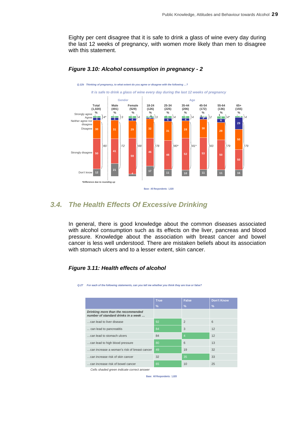Eighty per cent disagree that it is safe to drink a glass of wine every day during the last 12 weeks of pregnancy, with women more likely than men to disagree with this statement.



#### *Figure 3.10: Alcohol consumption in pregnancy - 2*

#### *3.4. The Health Effects Of Excessive Drinking*

In general, there is good knowledge about the common diseases associated with alcohol consumption such as its effects on the liver, pancreas and blood pressure. Knowledge about the association with breast cancer and bowel cancer is less well understood. There are mistaken beliefs about its association with stomach ulcers and to a lesser extent, skin cancer.

#### *Figure 3.11: Health effects of alcohol*

| For each of the following statements, can you tell me whether you think they are true or false? |               |                |                   |  |  |
|-------------------------------------------------------------------------------------------------|---------------|----------------|-------------------|--|--|
|                                                                                                 |               |                |                   |  |  |
|                                                                                                 | <b>True</b>   | <b>False</b>   | <b>Don't Know</b> |  |  |
|                                                                                                 | $\frac{9}{6}$ | $\%$           | $\%$              |  |  |
| Drinking more than the recommended<br>number of standard drinks in a week                       |               |                |                   |  |  |
| can lead to liver disease                                                                       | 92            | $\overline{2}$ | 6                 |  |  |
| can lead to pancreatitis                                                                        | 84            | 3              | 12                |  |  |
| can lead to stomach ulcers                                                                      | 84            | $\overline{4}$ | 12                |  |  |
| can lead to high blood pressure                                                                 | 80            | 6              | 13                |  |  |
| can increase a woman's risk of breast cancer                                                    | 49            | 19             | 32                |  |  |
| can increase risk of skin cancer                                                                | 32            | 35             | 33                |  |  |
| can increase risk of bowel cancer                                                               | 65            | 10             | 25                |  |  |

*Q.27 For each of the following statements, can you tell me whether you think they are true or false?*

*Cells shaded green indicate correct answer*

**Base: All Respondents: 1,020**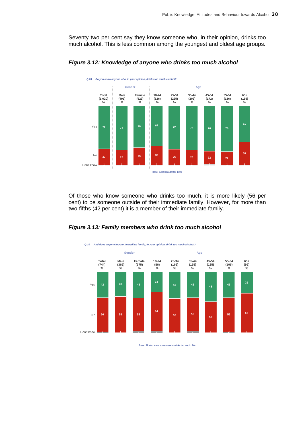Seventy two per cent say they know someone who, in their opinion, drinks too much alcohol. This is less common among the youngest and oldest age groups.



#### *Figure 3.12: Knowledge of anyone who drinks too much alcohol*

Of those who know someone who drinks too much, it is more likely (56 per cent) to be someone outside of their immediate family. However, for more than two-fifths (42 per cent) it is a member of their immediate family.





*Q.29 And does anyone in your immediate family, in your opinion, drink too much alcohol?* 

**Base: All who know someone who drinks too much: 744**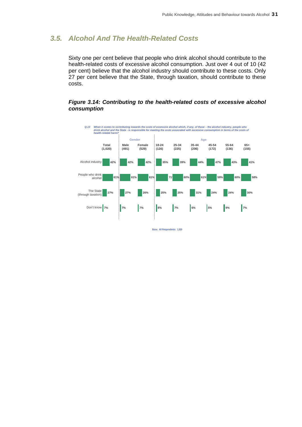### *3.5. Alcohol And The Health-Related Costs*

Sixty one per cent believe that people who drink alcohol should contribute to the health-related costs of excessive alcohol consumption. Just over 4 out of 10 (42 per cent) believe that the alcohol industry should contribute to these costs. Only 27 per cent believe that the State, through taxation, should contribute to these costs.

#### *Figure 3.14: Contributing to the health-related costs of excessive alcohol consumption*



**Base: All Respondents: 1,020**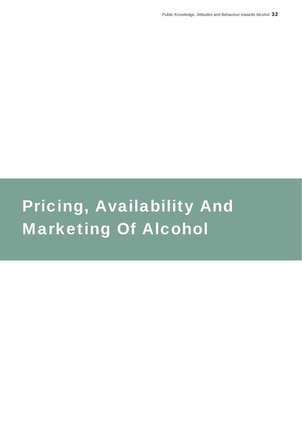# Pricing, Availability And Marketing Of Alcohol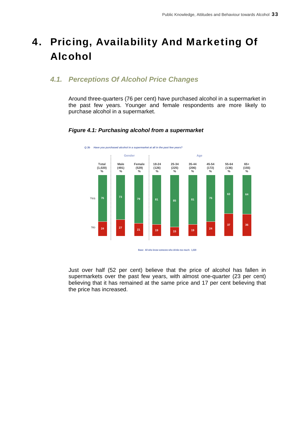# 4. Pricing, Availability And Marketing Of Alcohol

#### *4.1. Perceptions Of Alcohol Price Changes*

Around three-quarters (76 per cent) have purchased alcohol in a supermarket in the past few years. Younger and female respondents are more likely to purchase alcohol in a supermarket.



#### *Figure 4.1: Purchasing alcohol from a supermarket*

Just over half (52 per cent) believe that the price of alcohol has fallen in supermarkets over the past few years, with almost one-quarter (23 per cent) believing that it has remained at the same price and 17 per cent believing that the price has increased.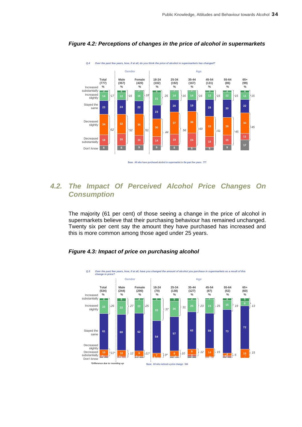

#### *Figure 4.2: Perceptions of changes in the price of alcohol in supermarkets*

#### *4.2. The Impact Of Perceived Alcohol Price Changes On Consumption*

The majority (61 per cent) of those seeing a change in the price of alcohol in supermarkets believe that their purchasing behaviour has remained unchanged. Twenty six per cent say the amount they have purchased has increased and this is more common among those aged under 25 years.



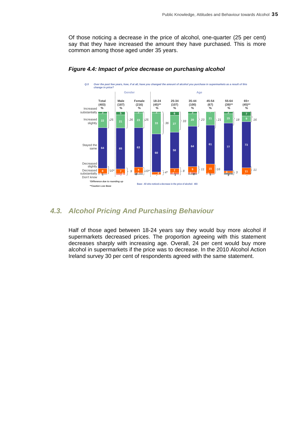Of those noticing a decrease in the price of alcohol, one-quarter (25 per cent) say that they have increased the amount they have purchased. This is more common among those aged under 35 years.



#### *Figure 4.4: Impact of price decrease on purchasing alcohol*

#### *4.3. Alcohol Pricing And Purchasing Behaviour*

Half of those aged between 18-24 years say they would buy more alcohol if supermarkets decreased prices. The proportion agreeing with this statement decreases sharply with increasing age. Overall, 24 per cent would buy more alcohol in supermarkets if the price was to decrease. In the 2010 Alcohol Action Ireland survey 30 per cent of respondents agreed with the same statement.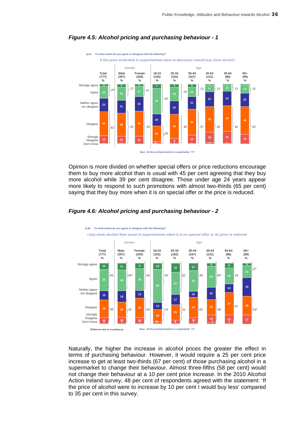

#### *Figure 4.5: Alcohol pricing and purchasing behaviour - 1*

Opinion is more divided on whether special offers or price reductions encourage them to buy more alcohol than is usual with 45 per cent agreeing that they buy more alcohol while 39 per cent disagree. Those under age 24 years appear more likely to respond to such promotions with almost two-thirds (65 per cent) saying that they buy more when it is on special offer or the price is reduced.



#### *Figure 4.6: Alcohol pricing and purchasing behaviour - 2*

Naturally, the higher the increase in alcohol prices the greater the effect in terms of purchasing behaviour. However, it would require a 25 per cent price increase to get at least two-thirds (67 per cent) of those purchasing alcohol in a supermarket to change their behaviour. Almost three-fifths (58 per cent) would not change their behaviour at a 10 per cent price increase. In the 2010 Alcohol Action Ireland survey, 48 per cent of respondents agreed with the statement: 'If the price of alcohol were to increase by 10 per cent I would buy less' compared to 35 per cent in this survey.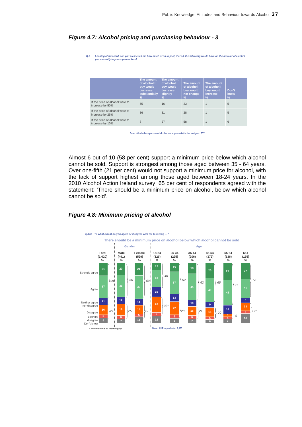| Q.7<br>Looking at this card, can you please tell me how much of an impact, if at all, the following would have on the amount of alcohol<br>you currently buy in supermarkets? |                                                                                       |                                                                                  |                                                                        |                                                                             |                                |
|-------------------------------------------------------------------------------------------------------------------------------------------------------------------------------|---------------------------------------------------------------------------------------|----------------------------------------------------------------------------------|------------------------------------------------------------------------|-----------------------------------------------------------------------------|--------------------------------|
|                                                                                                                                                                               | The amount<br>of alcohol I<br>buy would<br>decrease<br>substantially<br>$\frac{9}{6}$ | The amount<br>of alcohol I<br>buy would<br>decrease<br>slightly<br>$\frac{9}{6}$ | The amount<br>of alcohol I<br>buy would<br>not change<br>$\frac{9}{6}$ | The amount<br>of alcohol I<br>buy would<br><i>increase</i><br>$\frac{9}{6}$ | Don't<br>know<br>$\frac{9}{6}$ |
| If the price of alcohol were to<br>increase by 50%                                                                                                                            | 55                                                                                    | 16                                                                               | 23                                                                     | 1                                                                           | 5                              |
| If the price of alcohol were to<br>increase by 25%                                                                                                                            | 36                                                                                    | 31                                                                               | 28                                                                     | 1                                                                           | 5                              |
| If the price of alcohol were to<br>increase by 10%                                                                                                                            | 8                                                                                     | 27                                                                               | 58                                                                     | 1                                                                           | 6                              |

#### *Figure 4.7: Alcohol pricing and purchasing behaviour - 3*

**Base: All who have purchased alcohol in a supermarket in the past year: 777**

Almost 6 out of 10 (58 per cent) support a minimum price below which alcohol cannot be sold. Support is strongest among those aged between 35 - 64 years. Over one-fifth (21 per cent) would not support a minimum price for alcohol, with the lack of support highest among those aged between 18-24 years. In the 2010 Alcohol Action Ireland survey, 65 per cent of respondents agreed with the statement: 'There should be a minimum price on alcohol, below which alcohol cannot be sold'.

#### *Figure 4.8: Minimum pricing of alcohol*

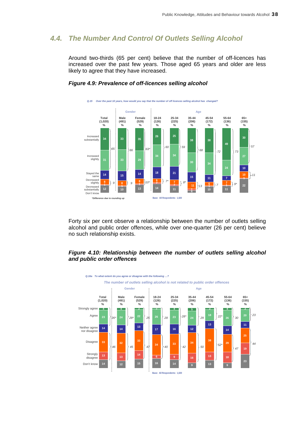#### *4.4. The Number And Control Of Outlets Selling Alcohol*

Around two-thirds (65 per cent) believe that the number of off-licences has increased over the past few years. Those aged 65 years and older are less likely to agree that they have increased.



#### *Figure 4.9: Prevalence of off-licences selling alcohol*

Forty six per cent observe a relationship between the number of outlets selling alcohol and public order offences, while over one-quarter (26 per cent) believe no such relationship exists.

#### *Figure 4.10: Relationship between the number of outlets selling alcohol and public order offences*

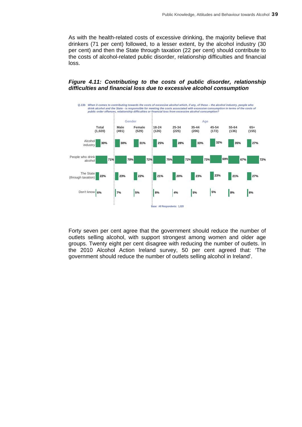As with the health-related costs of excessive drinking, the majority believe that drinkers (71 per cent) followed, to a lesser extent, by the alcohol industry (30 per cent) and then the State through taxation (22 per cent) should contribute to the costs of alcohol-related public disorder, relationship difficulties and financial loss.

#### *Figure 4.11: Contributing to the costs of public disorder, relationship difficulties and financial loss due to excessive alcohol consumption*



Forty seven per cent agree that the government should reduce the number of outlets selling alcohol, with support strongest among women and older age groups. Twenty eight per cent disagree with reducing the number of outlets. In the 2010 Alcohol Action Ireland survey, 50 per cent agreed that: 'The government should reduce the number of outlets selling alcohol in Ireland'.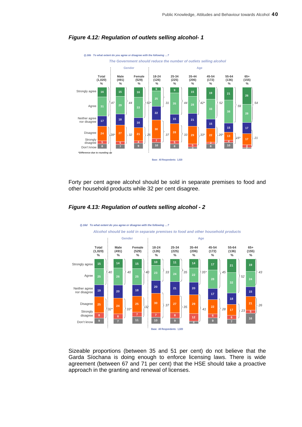

#### *Figure 4.12: Regulation of outlets selling alcohol- 1*

Forty per cent agree alcohol should be sold in separate premises to food and other household products while 32 per cent disagree.



#### *Figure 4.13: Regulation of outlets selling alcohol - 2*

Sizeable proportions (between 35 and 51 per cent) do not believe that the Garda Síochana is doing enough to enforce licensing laws. There is wide agreement (between 67 and 71 per cent) that the HSE should take a proactive approach in the granting and renewal of licenses.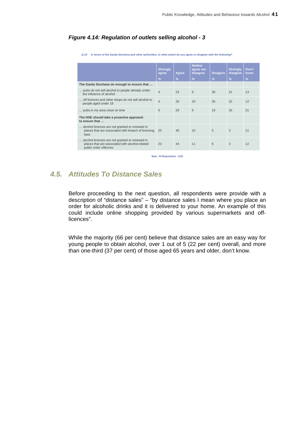#### *Figure 4.14: Regulation of outlets selling alcohol - 3*

*Q.14 In terms of the Garda Siochana and other authorities, to what extent do you agree or disagree with the following?* 

|                                                                                                                            | <b>Strongly</b><br>agree | Agree         | <b>Neither</b><br>agree nor<br>disagree | <b>Disagree</b> | <b>Strongly</b><br>disagree | Don't<br>know |
|----------------------------------------------------------------------------------------------------------------------------|--------------------------|---------------|-----------------------------------------|-----------------|-----------------------------|---------------|
|                                                                                                                            | $\frac{9}{6}$            | $\frac{9}{6}$ | $\frac{9}{6}$                           | $\frac{9}{6}$   | $\frac{9}{6}$               | $\frac{9}{6}$ |
| The Garda Siochana do enough to ensure that                                                                                |                          |               |                                         |                 |                             |               |
| pubs do not sell alcohol to people already under<br>the influence of alcohol                                               | $\overline{4}$           | 23            | 9                                       | 30              | 21                          | 13            |
| off licences and other shops do not sell alcohol to<br>people aged under 18                                                | $\overline{4}$           | 26            | 10                                      | 26              | 22                          | 12            |
| pubs in my area close on time                                                                                              | 5                        | 29            | 9                                       | 19              | 16                          | 21            |
| The HSE should take a proactive approach<br>to ensure that                                                                 |                          |               |                                         |                 |                             |               |
| alcohol licences are not granted or renewed in<br>places that are associated with breach of licensing<br>laws              | 25                       | 46            | 10                                      | 5               | 3                           | 11            |
| alcohol licences are not granted or renewed in<br>places that are associated with alcohol-related<br>public order offences | 23                       | 44            | 11                                      | 6               | 3                           | 12            |

**Base: All Respondents: 1,020** 

### *4.5. Attitudes To Distance Sales*

Before proceeding to the next question, all respondents were provide with a description of "distance sales" – "by distance sales I mean where you place an order for alcoholic drinks and it is delivered to your home. An example of this could include online shopping provided by various supermarkets and offlicences".

While the majority (66 per cent) believe that distance sales are an easy way for young people to obtain alcohol, over 1 out of 5 (22 per cent) overall, and more than one-third (37 per cent) of those aged 65 years and older, don't know.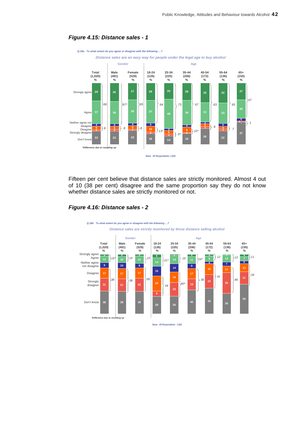

#### *Figure 4.15: Distance sales - 1*

Fifteen per cent believe that distance sales are strictly monitored. Almost 4 out of 10 (38 per cent) disagree and the same proportion say they do not know whether distance sales are strictly monitored or not.



#### *Figure 4.16: Distance sales - 2*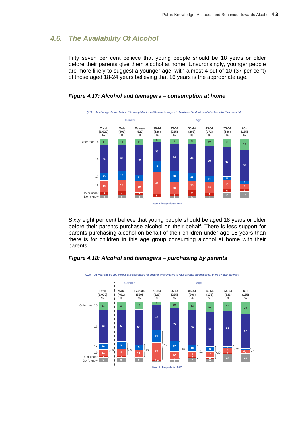#### *4.6. The Availability Of Alcohol*

Fifty seven per cent believe that young people should be 18 years or older before their parents give them alcohol at home. Unsurprisingly, younger people are more likely to suggest a younger age, with almost 4 out of 10 (37 per cent) of those aged 18-24 years believing that 16 years is the appropriate age.



*Figure 4.17: Alcohol and teenagers – consumption at home* 

Sixty eight per cent believe that young people should be aged 18 years or older before their parents purchase alcohol on their behalf. There is less support for parents purchasing alcohol on behalf of their children under age 18 years than there is for children in this age group consuming alcohol at home with their parents.



*Figure 4.18: Alcohol and teenagers – purchasing by parents*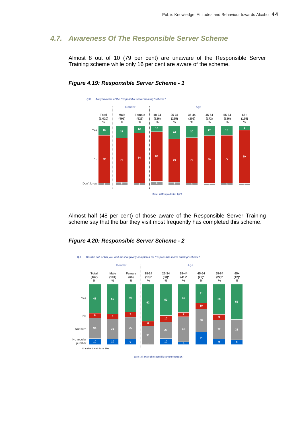#### *4.7. Awareness Of The Responsible Server Scheme*

Almost 8 out of 10 (79 per cent) are unaware of the Responsible Server Training scheme while only 16 per cent are aware of the scheme.



#### *Figure 4.19: Responsible Server Scheme - 1*

Almost half (48 per cent) of those aware of the Responsible Server Training scheme say that the bar they visit most frequently has completed this scheme.

#### *Figure 4.20: Responsible Server Scheme - 2*



**Base: All aware of responsible server scheme: 167**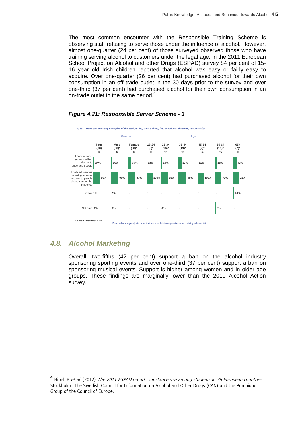The most common encounter with the Responsible Training Scheme is observing staff refusing to serve those under the influence of alcohol. However, almost one-quarter (24 per cent) of those surveyed observed those who have training serving alcohol to customers under the legal age. In the 2011 European School Project on Alcohol and other Drugs (ESPAD) survey 84 per cent of 15- 16 year old Irish children reported that alcohol was easy or fairly easy to acquire. Over one-quarter (26 per cent) had purchased alcohol for their own consumption in an off trade outlet in the 30 days prior to the survey and over one-third (37 per cent) had purchased alcohol for their own consumption in an on-trade outlet in the same period.<sup>4</sup>



#### *Figure 4.21: Responsible Server Scheme - 3*

#### *4.8. Alcohol Marketing*

l

Overall, two-fifths (42 per cent) support a ban on the alcohol industry sponsoring sporting events and over one-third (37 per cent) support a ban on sponsoring musical events. Support is higher among women and in older age groups. These findings are marginally lower than the 2010 Alcohol Action survey.

<sup>&</sup>lt;sup>4</sup> Hibell B *et al.* (2012) *The 2011 ESPAD report: substance use among students in 36 European countries.* Stockholm: The Swedish Council for Information on Alcohol and Other Drugs (CAN) and the Pompidou Group of the Council of Europe.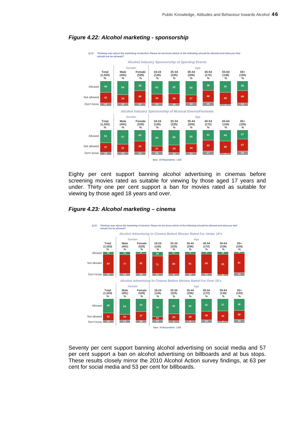

#### *Figure 4.22: Alcohol marketing - sponsorship*

Eighty per cent support banning alcohol advertising in cinemas before screening movies rated as suitable for viewing by those aged 17 years and under. Thirty one per cent support a ban for movies rated as suitable for viewing by those aged 18 years and over.



#### *Figure 4.23: Alcohol marketing – cinema*

Seventy per cent support banning alcohol advertising on social media and 57 per cent support a ban on alcohol advertising on billboards and at bus stops. These results closely mirror the 2010 Alcohol Action survey findings, at 63 per cent for social media and 53 per cent for billboards.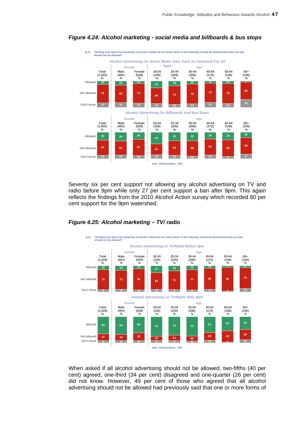

#### *Figure 4.24: Alcohol marketing - social media and billboards & bus stops*

Seventy six per cent support not allowing any alcohol advertising on TV and radio before 9pm while only 27 per cent support a ban after 9pm. This again reflects the findings from the 2010 Alcohol Action survey which recorded 80 per cent support for the 9pm watershed.





When asked if all alcohol advertising should not be allowed, two-fifths (40 per cent) agreed, one-third (34 per cent) disagreed and one-quarter (26 per cent) did not know. However, 49 per cent of those who agreed that all alcohol advertising should not be allowed had previously said that one or more forms of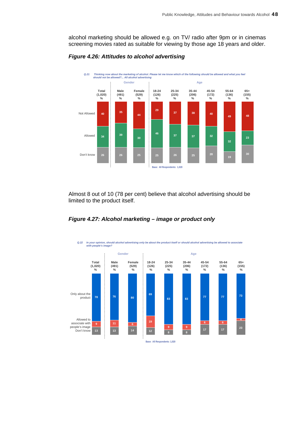alcohol marketing should be allowed e.g. on TV/ radio after 9pm or in cinemas screening movies rated as suitable for viewing by those age 18 years and older.



*Figure 4.26: Attitudes to alcohol advertising* 

Almost 8 out of 10 (78 per cent) believe that alcohol advertising should be limited to the product itself.





**Base: All Respondents: 1,020**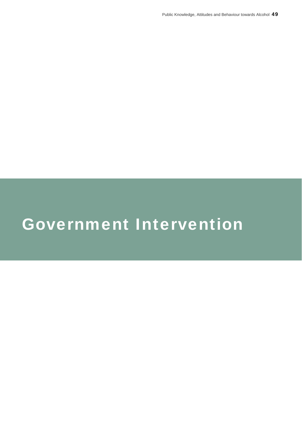# Government Intervention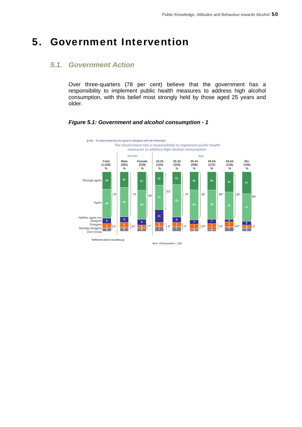## 5. Government Intervention

#### *5.1. Government Action*

Over three-quarters (78 per cent) believe that the government has a responsibility to implement public health measures to address high alcohol consumption, with this belief most strongly held by those aged 25 years and older.

#### *Figure 5.1: Government and alcohol consumption - 1*

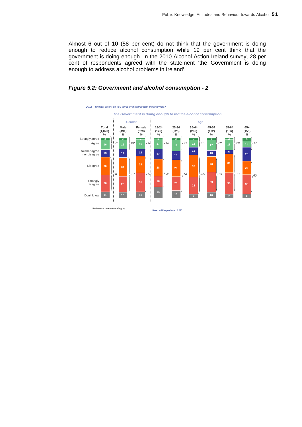Almost 6 out of 10 (58 per cent) do not think that the government is doing enough to reduce alcohol consumption while 19 per cent think that the government is doing enough. In the 2010 Alcohol Action Ireland survey, 28 per cent of respondents agreed with the statement 'the Government is doing enough to address alcohol problems in Ireland'.

#### *Figure 5.2: Government and alcohol consumption - 2*

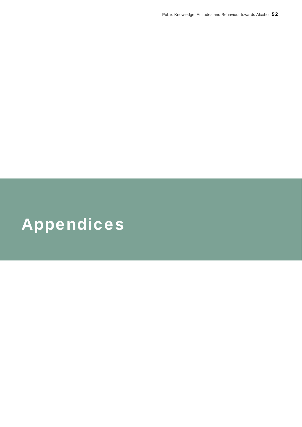# Appendices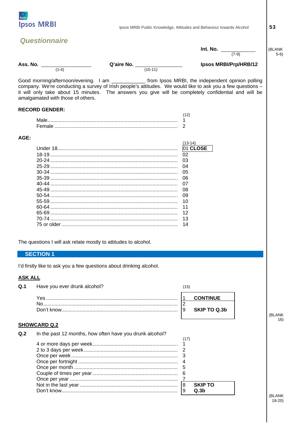

| <b>Questionnaire</b><br><b>Int. No.</b> $\frac{1}{(7-9)}$<br>(BLANK<br>$5-6)$<br>Ass. No. $\frac{1}{(1-4)}$<br>Q'aire No. $\frac{1}{(10-11)}$<br>Ipsos MRBI/Prp/HRB/12<br>Good morning/afternoon/evening. I am ______________ from Ipsos MRBI, the independent opinion polling<br>company. We're conducting a survey of Irish people's attitudes. We would like to ask you a few questions -<br>it will only take about 15 minutes. The answers you give will be completely confidential and will be<br>amalgamated with those of others.<br><b>RECORD GENDER:</b><br>(12)<br>1<br>AGE:<br>$(13-14)$<br>01 CLOSE<br>02<br>03<br>04<br>05<br>06<br>07<br>08<br>09<br>10<br>11<br>12<br>13<br>14<br>The questions I will ask relate mostly to attitudes to alcohol.<br><b>SECTION 1</b><br>I'd firstly like to ask you a few questions about drinking alcohol.<br><b>ASK ALL</b><br>Q.1<br>Have you ever drunk alcohol?<br>(15)<br><b>CONTINUE</b><br>l 1<br>2<br><b>SKIP TO Q.3b</b><br>l 9<br><b>SHOWCARD Q.2</b><br>Q <sub>.2</sub><br>In the past 12 months, how often have you drunk alcohol?<br>(17)<br>1<br>2<br>-3<br>4 | <b>Ipsos MRBI</b> | Ipsos MRBI Public Knowledge, Attitudes and Behaviour towards Alcohol | 53     |
|-------------------------------------------------------------------------------------------------------------------------------------------------------------------------------------------------------------------------------------------------------------------------------------------------------------------------------------------------------------------------------------------------------------------------------------------------------------------------------------------------------------------------------------------------------------------------------------------------------------------------------------------------------------------------------------------------------------------------------------------------------------------------------------------------------------------------------------------------------------------------------------------------------------------------------------------------------------------------------------------------------------------------------------------------------------------------------------------------------------------------------|-------------------|----------------------------------------------------------------------|--------|
|                                                                                                                                                                                                                                                                                                                                                                                                                                                                                                                                                                                                                                                                                                                                                                                                                                                                                                                                                                                                                                                                                                                               |                   |                                                                      |        |
|                                                                                                                                                                                                                                                                                                                                                                                                                                                                                                                                                                                                                                                                                                                                                                                                                                                                                                                                                                                                                                                                                                                               |                   |                                                                      |        |
|                                                                                                                                                                                                                                                                                                                                                                                                                                                                                                                                                                                                                                                                                                                                                                                                                                                                                                                                                                                                                                                                                                                               |                   |                                                                      |        |
|                                                                                                                                                                                                                                                                                                                                                                                                                                                                                                                                                                                                                                                                                                                                                                                                                                                                                                                                                                                                                                                                                                                               |                   |                                                                      |        |
|                                                                                                                                                                                                                                                                                                                                                                                                                                                                                                                                                                                                                                                                                                                                                                                                                                                                                                                                                                                                                                                                                                                               |                   |                                                                      |        |
|                                                                                                                                                                                                                                                                                                                                                                                                                                                                                                                                                                                                                                                                                                                                                                                                                                                                                                                                                                                                                                                                                                                               |                   |                                                                      |        |
|                                                                                                                                                                                                                                                                                                                                                                                                                                                                                                                                                                                                                                                                                                                                                                                                                                                                                                                                                                                                                                                                                                                               |                   |                                                                      |        |
|                                                                                                                                                                                                                                                                                                                                                                                                                                                                                                                                                                                                                                                                                                                                                                                                                                                                                                                                                                                                                                                                                                                               |                   |                                                                      |        |
|                                                                                                                                                                                                                                                                                                                                                                                                                                                                                                                                                                                                                                                                                                                                                                                                                                                                                                                                                                                                                                                                                                                               |                   |                                                                      |        |
|                                                                                                                                                                                                                                                                                                                                                                                                                                                                                                                                                                                                                                                                                                                                                                                                                                                                                                                                                                                                                                                                                                                               |                   |                                                                      |        |
|                                                                                                                                                                                                                                                                                                                                                                                                                                                                                                                                                                                                                                                                                                                                                                                                                                                                                                                                                                                                                                                                                                                               |                   |                                                                      |        |
|                                                                                                                                                                                                                                                                                                                                                                                                                                                                                                                                                                                                                                                                                                                                                                                                                                                                                                                                                                                                                                                                                                                               |                   |                                                                      |        |
|                                                                                                                                                                                                                                                                                                                                                                                                                                                                                                                                                                                                                                                                                                                                                                                                                                                                                                                                                                                                                                                                                                                               |                   |                                                                      |        |
|                                                                                                                                                                                                                                                                                                                                                                                                                                                                                                                                                                                                                                                                                                                                                                                                                                                                                                                                                                                                                                                                                                                               |                   |                                                                      |        |
|                                                                                                                                                                                                                                                                                                                                                                                                                                                                                                                                                                                                                                                                                                                                                                                                                                                                                                                                                                                                                                                                                                                               |                   |                                                                      |        |
|                                                                                                                                                                                                                                                                                                                                                                                                                                                                                                                                                                                                                                                                                                                                                                                                                                                                                                                                                                                                                                                                                                                               |                   |                                                                      |        |
|                                                                                                                                                                                                                                                                                                                                                                                                                                                                                                                                                                                                                                                                                                                                                                                                                                                                                                                                                                                                                                                                                                                               |                   |                                                                      |        |
|                                                                                                                                                                                                                                                                                                                                                                                                                                                                                                                                                                                                                                                                                                                                                                                                                                                                                                                                                                                                                                                                                                                               |                   |                                                                      |        |
|                                                                                                                                                                                                                                                                                                                                                                                                                                                                                                                                                                                                                                                                                                                                                                                                                                                                                                                                                                                                                                                                                                                               |                   |                                                                      |        |
|                                                                                                                                                                                                                                                                                                                                                                                                                                                                                                                                                                                                                                                                                                                                                                                                                                                                                                                                                                                                                                                                                                                               |                   |                                                                      |        |
|                                                                                                                                                                                                                                                                                                                                                                                                                                                                                                                                                                                                                                                                                                                                                                                                                                                                                                                                                                                                                                                                                                                               |                   |                                                                      |        |
|                                                                                                                                                                                                                                                                                                                                                                                                                                                                                                                                                                                                                                                                                                                                                                                                                                                                                                                                                                                                                                                                                                                               |                   |                                                                      |        |
|                                                                                                                                                                                                                                                                                                                                                                                                                                                                                                                                                                                                                                                                                                                                                                                                                                                                                                                                                                                                                                                                                                                               |                   |                                                                      |        |
|                                                                                                                                                                                                                                                                                                                                                                                                                                                                                                                                                                                                                                                                                                                                                                                                                                                                                                                                                                                                                                                                                                                               |                   |                                                                      |        |
|                                                                                                                                                                                                                                                                                                                                                                                                                                                                                                                                                                                                                                                                                                                                                                                                                                                                                                                                                                                                                                                                                                                               |                   |                                                                      |        |
|                                                                                                                                                                                                                                                                                                                                                                                                                                                                                                                                                                                                                                                                                                                                                                                                                                                                                                                                                                                                                                                                                                                               |                   |                                                                      |        |
|                                                                                                                                                                                                                                                                                                                                                                                                                                                                                                                                                                                                                                                                                                                                                                                                                                                                                                                                                                                                                                                                                                                               |                   |                                                                      |        |
|                                                                                                                                                                                                                                                                                                                                                                                                                                                                                                                                                                                                                                                                                                                                                                                                                                                                                                                                                                                                                                                                                                                               |                   |                                                                      |        |
|                                                                                                                                                                                                                                                                                                                                                                                                                                                                                                                                                                                                                                                                                                                                                                                                                                                                                                                                                                                                                                                                                                                               |                   |                                                                      |        |
|                                                                                                                                                                                                                                                                                                                                                                                                                                                                                                                                                                                                                                                                                                                                                                                                                                                                                                                                                                                                                                                                                                                               |                   |                                                                      |        |
|                                                                                                                                                                                                                                                                                                                                                                                                                                                                                                                                                                                                                                                                                                                                                                                                                                                                                                                                                                                                                                                                                                                               |                   |                                                                      |        |
|                                                                                                                                                                                                                                                                                                                                                                                                                                                                                                                                                                                                                                                                                                                                                                                                                                                                                                                                                                                                                                                                                                                               |                   |                                                                      | (BLANK |
|                                                                                                                                                                                                                                                                                                                                                                                                                                                                                                                                                                                                                                                                                                                                                                                                                                                                                                                                                                                                                                                                                                                               |                   |                                                                      | 16)    |
|                                                                                                                                                                                                                                                                                                                                                                                                                                                                                                                                                                                                                                                                                                                                                                                                                                                                                                                                                                                                                                                                                                                               |                   |                                                                      |        |
|                                                                                                                                                                                                                                                                                                                                                                                                                                                                                                                                                                                                                                                                                                                                                                                                                                                                                                                                                                                                                                                                                                                               |                   |                                                                      |        |
|                                                                                                                                                                                                                                                                                                                                                                                                                                                                                                                                                                                                                                                                                                                                                                                                                                                                                                                                                                                                                                                                                                                               |                   |                                                                      |        |
|                                                                                                                                                                                                                                                                                                                                                                                                                                                                                                                                                                                                                                                                                                                                                                                                                                                                                                                                                                                                                                                                                                                               |                   |                                                                      |        |
|                                                                                                                                                                                                                                                                                                                                                                                                                                                                                                                                                                                                                                                                                                                                                                                                                                                                                                                                                                                                                                                                                                                               |                   |                                                                      |        |

**SKIP TO** 

 $Q.3b$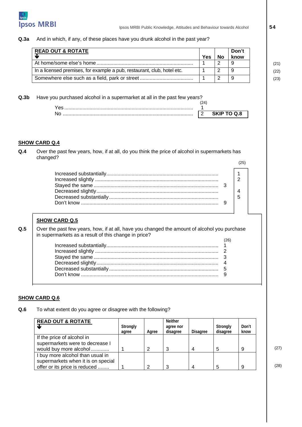

#### **Q.3a** And in which, if any, of these places have you drunk alcohol in the past year?

| <b>READ OUT &amp; ROTATE</b>                                            | Yes | No | Don't<br>know |  |
|-------------------------------------------------------------------------|-----|----|---------------|--|
|                                                                         |     |    | -9            |  |
| In a licensed premises, for example a pub, restaurant, club, hotel etc. |     |    | 9             |  |
|                                                                         |     |    | 9             |  |

#### **Q.3b** Have you purchased alcohol in a supermarket at all in the past few years?

| ∨ac |            |
|-----|------------|
| Nr  | SKID TO OS |

#### **SHOW CARD Q.4**

**Q.4** Over the past few years, how, if at all, do you think the price of alcohol in supermarkets has changed? (25)

#### **SHOW CARD Q.5**

**Q.5** | Over the past few years, how, if at all, have you changed the amount of alcohol you purchase in supermarkets as a result of this change in price?  $(26)$ 

#### **SHOW CARD Q.6**

**Q.6** To what extent do you agree or disagree with the following?

| <b>READ OUT &amp; ROTATE</b>                                           | Strongly<br>agree | Agree | <b>Neither</b><br>agree nor<br>disagree | Disagree | Strongly<br>disagree | Don't<br>know |      |
|------------------------------------------------------------------------|-------------------|-------|-----------------------------------------|----------|----------------------|---------------|------|
| If the price of alcohol in<br>supermarkets were to decrease I          |                   |       |                                         |          |                      |               |      |
| would buy more alcohol                                                 |                   |       |                                         | 4        |                      | 9             | (27) |
| I buy more alcohol than usual in<br>supermarkets when it is on special |                   |       |                                         |          |                      |               |      |
| offer or its price is reduced                                          |                   | 2     |                                         | 4        |                      | 9             | (28) |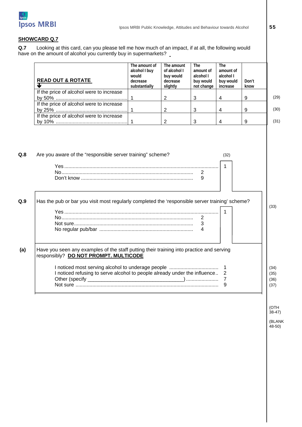

#### **SHOWCARD Q.7**

**Q.7** Looking at this card, can you please tell me how much of an impact, if at all, the following would have on the amount of alcohol you currently buy in supermarkets?

| <b>READ OUT &amp; ROTATE</b><br>Ψ                                                                                                 | The amount of<br>alcohol I buy<br>would<br>decrease<br>substantially | The amount<br>of alcohol I<br>buy would<br>decrease<br>slightly | The<br>amount of<br>alcohol I<br>buy would<br>not change | The<br>amount of<br>alcohol I<br>buy would<br>increase | Don't<br>know |
|-----------------------------------------------------------------------------------------------------------------------------------|----------------------------------------------------------------------|-----------------------------------------------------------------|----------------------------------------------------------|--------------------------------------------------------|---------------|
| If the price of alcohol were to increase                                                                                          |                                                                      |                                                                 |                                                          |                                                        |               |
|                                                                                                                                   | $\mathbf{1}$                                                         | $\overline{2}$                                                  | 3                                                        | $\overline{\mathcal{A}}$                               | 9             |
| If the price of alcohol were to increase                                                                                          |                                                                      |                                                                 | 3                                                        |                                                        | 9             |
| If the price of alcohol were to increase                                                                                          | 1                                                                    | $\overline{2}$                                                  |                                                          | 4                                                      |               |
|                                                                                                                                   | $\overline{1}$                                                       | 2                                                               | 3                                                        | 4                                                      | 9             |
| Are you aware of the "responsible server training" scheme?                                                                        |                                                                      |                                                                 | 2                                                        | (32)<br>-1                                             |               |
|                                                                                                                                   |                                                                      |                                                                 | 9                                                        |                                                        |               |
| Has the pub or bar you visit most regularly completed the 'responsible server training' scheme?                                   |                                                                      |                                                                 | 2<br>3<br>4                                              | $\mathbf{1}$                                           |               |
| Have you seen any examples of the staff putting their training into practice and serving<br>responsibly? DO NOT PROMPT. MULTICODE |                                                                      |                                                                 |                                                          |                                                        |               |

38-47) (BLANK

 $48 - 50$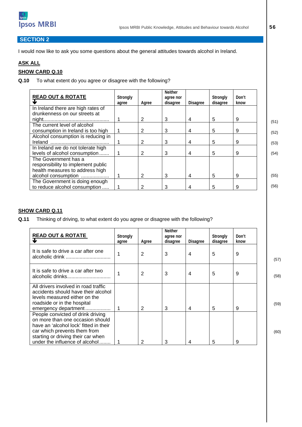

#### **SECTION 2**

I would now like to ask you some questions about the general attitudes towards alcohol in Ireland.

#### **ASK ALL**

#### **SHOW CARD Q.10**

**Q.10** To what extent do you agree or disagree with the following?

| <b>READ OUT &amp; ROTATE</b>                                        | Strongly<br>agree | Agree | Neither<br>agree nor<br>disagree | <b>Disagree</b> | Strongly<br>disagree | Don't<br>know |  |
|---------------------------------------------------------------------|-------------------|-------|----------------------------------|-----------------|----------------------|---------------|--|
| In Ireland there are high rates of                                  |                   |       |                                  |                 |                      |               |  |
| drunkenness on our streets at                                       |                   | 2     | 3                                | 4               | 5                    | 9             |  |
| The current level of alcohol                                        |                   |       |                                  |                 |                      |               |  |
| consumption in Ireland is too high                                  |                   | 2     | 3                                | 4               | 5                    | 9             |  |
| Alcohol consumption is reducing in                                  |                   |       |                                  |                 |                      |               |  |
|                                                                     |                   | 2     | 3                                | 4               | 5                    | 9             |  |
| In Ireland we do not tolerate high<br>levels of alcohol consumption |                   | 2     | 3                                | 4               | 5                    | 9             |  |
| The Government has a<br>responsibility to implement public          |                   |       |                                  |                 |                      |               |  |
| health measures to address high<br>alcohol consumption              |                   | 2     | 3                                | 4               | 5                    | 9             |  |
| The Government is doing enough<br>to reduce alcohol consumption     |                   | 2     | 3                                | 4               | 5                    | 9             |  |

#### **SHOW CARD Q.11**

**Q.11** Thinking of driving, to what extent do you agree or disagree with the following?

| <b>READ OUT &amp; ROTATE</b>                                                                                                                                                                                            | Strongly<br>agree | Agree | <b>Neither</b><br>agree nor<br>disagree | <b>Disagree</b> | Strongly<br>disagree | Don't<br>know |      |
|-------------------------------------------------------------------------------------------------------------------------------------------------------------------------------------------------------------------------|-------------------|-------|-----------------------------------------|-----------------|----------------------|---------------|------|
| It is safe to drive a car after one                                                                                                                                                                                     |                   | 2     | 3                                       | 4               | 5                    | 9             | (57) |
| It is safe to drive a car after two                                                                                                                                                                                     |                   | 2     | 3                                       | 4               | 5                    | 9             | (58) |
| All drivers involved in road traffic<br>accidents should have their alcohol<br>levels measured either on the<br>roadside or in the hospital<br>emergency department                                                     |                   | 2     | 3                                       | 4               | 5                    | 9             | (59) |
| People convicted of drink driving<br>on more than one occasion should<br>have an 'alcohol lock' fitted in their<br>car which prevents them from<br>starting or driving their car when<br>under the influence of alcohol |                   | 2     | 3                                       |                 | 5                    | 9             | (60) |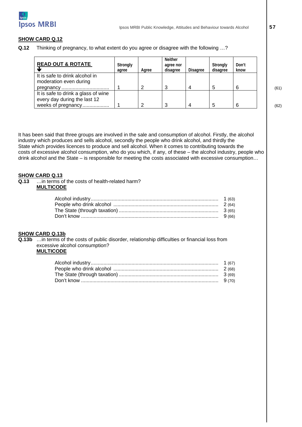

#### **SHOW CARD Q.12**

**Q.12** Thinking of pregnancy, to what extent do you agree or disagree with the following …?

| <b>READ OUT &amp; ROTATE</b>                                        | Strongly<br>agree | Agree | <b>Neither</b><br>agree nor<br>disagree | <b>Disagree</b> | Strongly<br>disagree | Don't<br>know |      |
|---------------------------------------------------------------------|-------------------|-------|-----------------------------------------|-----------------|----------------------|---------------|------|
| It is safe to drink alcohol in<br>moderation even during            |                   |       |                                         |                 |                      |               |      |
|                                                                     |                   |       |                                         |                 |                      | 6             | (61) |
| It is safe to drink a glass of wine<br>every day during the last 12 |                   |       |                                         |                 |                      |               |      |
| weeks of pregnancy                                                  |                   |       |                                         |                 |                      | 6             | (62) |

It has been said that three groups are involved in the sale and consumption of alcohol. Firstly, the alcohol industry which produces and sells alcohol, secondly the people who drink alcohol, and thirdly the State which provides licences to produce and sell alcohol. When it comes to contributing towards the costs of excessive alcohol consumption, who do you which, if any, of these – the alcohol industry, people who drink alcohol and the State – is responsible for meeting the costs associated with excessive consumption…

### **SHOW CARD Q.13**<br>**Q.13** *...***.in terms c**

**Q.13** …in terms of the costs of health-related harm? **MULTICODE** 

#### **SHOW CARD Q.13b**

**Q.13b** …in terms of the costs of public disorder, relationship difficulties or financial loss from excessive alcohol consumption?

#### **MULTICODE**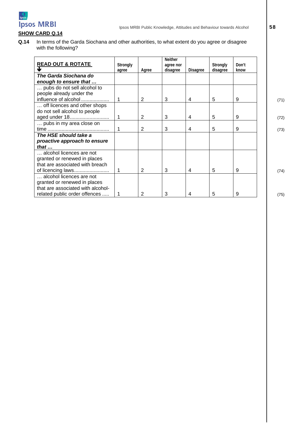

#### **SHOW CARD Q.14**

**Q.14** In terms of the Garda Siochana and other authorities, to what extent do you agree or disagree with the following?

| <b>READ OUT &amp; ROTATE</b>      | Strongly |       | <b>Neither</b><br>agree nor |                 | Strongly | Don't |
|-----------------------------------|----------|-------|-----------------------------|-----------------|----------|-------|
|                                   | agree    | Agree | disagree                    | <b>Disagree</b> | disagree | know  |
| The Garda Siochana do             |          |       |                             |                 |          |       |
| enough to ensure that             |          |       |                             |                 |          |       |
| pubs do not sell alcohol to       |          |       |                             |                 |          |       |
| people already under the          |          |       |                             |                 |          |       |
| influence of alcohol              |          | 2     | 3                           | 4               | 5        | 9     |
| off licences and other shops      |          |       |                             |                 |          |       |
| do not sell alcohol to people     |          |       |                             |                 |          |       |
| aged under 18                     | 1        | 2     | 3                           | 4               | 5        | 9     |
| pubs in my area close on          |          |       |                             |                 |          |       |
|                                   |          | 2     | 3                           | 4               | 5        | 9     |
| The HSE should take a             |          |       |                             |                 |          |       |
| proactive approach to ensure      |          |       |                             |                 |          |       |
| that $\ldots$                     |          |       |                             |                 |          |       |
| alcohol licences are not          |          |       |                             |                 |          |       |
| granted or renewed in places      |          |       |                             |                 |          |       |
| that are associated with breach   |          |       |                             |                 |          |       |
| of licencing laws                 |          | 2     | 3                           | 4               | 5        | 9     |
| alcohol licences are not          |          |       |                             |                 |          |       |
| granted or renewed in places      |          |       |                             |                 |          |       |
| that are associated with alcohol- |          |       |                             |                 |          |       |
| related public order offences     |          | 2     | 3                           | 4               | 5        | 9     |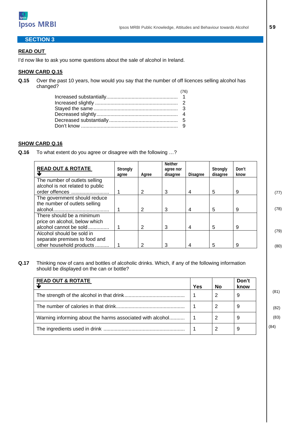

#### **SECTION 3**

#### **READ OUT**

I'd now like to ask you some questions about the sale of alcohol in Ireland.

#### **SHOW CARD Q.15**

**Q.15** Over the past 10 years, how would you say that the number of off licences selling alcohol has changed?

#### **SHOW CARD Q.16**

**Q.16** To what extent do you agree or disagree with the following …?

| <b>READ OUT &amp; ROTATE</b>                                                           | Strongly<br>agree | Agree | <b>Neither</b><br>agree nor<br>disagree | <b>Disagree</b> | Strongly<br>disagree | Don't<br>know |              |
|----------------------------------------------------------------------------------------|-------------------|-------|-----------------------------------------|-----------------|----------------------|---------------|--------------|
| The number of outlets selling<br>alcohol is not related to public<br>order offences    |                   | 2     | 3                                       | 4               | 5                    | 9             |              |
| The government should reduce<br>the number of outlets selling                          |                   | 2     | 3                                       | 4               | 5                    | 9             | (77)<br>(78) |
| There should be a minimum<br>price on alcohol, below which<br>alcohol cannot be sold   |                   | 2     | 3                                       | 4               | 5                    | 9             |              |
| Alcohol should be sold in<br>separate premises to food and<br>other household products |                   | 2     | 3                                       | 4               | 5                    | 9             | (79)<br>(80) |

**Q.17** Thinking now of cans and bottles of alcoholic drinks. Which, if any of the following information should be displayed on the can or bottle?

| <b>READ OUT &amp; ROTATE</b>                              | Yes | No | Don't<br>know |
|-----------------------------------------------------------|-----|----|---------------|
|                                                           |     |    | 9             |
|                                                           |     |    | 9             |
| Warning informing about the harms associated with alcohol |     | 2  | 9             |
|                                                           |     |    | 9             |

 (81) (82)

 (83) (84)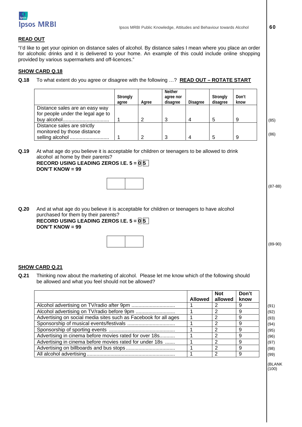

#### **READ OUT**

"I'd like to get your opinion on distance sales of alcohol. By distance sales I mean where you place an order for alcoholic drinks and it is delivered to your home. An example of this could include online shopping provided by various supermarkets and off-licences."

#### **SHOW CARD Q.18**

**Q.18** To what extent do you agree or disagree with the following …? **READ OUT – ROTATE START**

|                                                                     | Strongly<br>agree | Agree | <b>Neither</b><br>agree nor<br>disagree | <b>Disagree</b> | Strongly<br>disagree | Don't<br>know |      |
|---------------------------------------------------------------------|-------------------|-------|-----------------------------------------|-----------------|----------------------|---------------|------|
| Distance sales are an easy way<br>for people under the legal age to |                   |       |                                         |                 |                      |               |      |
|                                                                     |                   | ◠     | -2<br>w                                 |                 | 5                    |               | (85) |
| Distance sales are strictly<br>monitored by those distance          |                   |       |                                         |                 |                      |               | (86) |
|                                                                     |                   |       |                                         |                 |                      |               |      |

**Q.19** At what age do you believe it is acceptable for children or teenagers to be allowed to drink alcohol at home by their parents?

|                   | RECORD USING LEADING ZEROS I.E. $5 =  0 5$ |
|-------------------|--------------------------------------------|
| $DON'T$ KNOW = 99 |                                            |

**Q.20** And at what age do you believe it is acceptable for children or teenagers to have alcohol purchased for them by their parents?

 **RECORD USING LEADING ZEROS I.E. 5 = 0 5 DON'T KNOW = 99** 

#### **SHOW CARD Q.21**

**Q.21** Thinking now about the marketing of alcohol. Please let me know which of the following should be allowed and what you feel should not be allowed?

|                                                                 |         | <b>Not</b> | Don't |      |
|-----------------------------------------------------------------|---------|------------|-------|------|
|                                                                 | Allowed | allowed    | know  |      |
|                                                                 |         |            | 9     | (91) |
|                                                                 |         | 2          | 9     | (92) |
| Advertising on social media sites such as Facebook for all ages |         | 2          | 9     | (93) |
|                                                                 |         | 2          | 9     | (94) |
|                                                                 |         | 2          | 9     | (95) |
| Advertising in cinema before movies rated for over 18s          |         | 2          | a     | (96) |
| Advertising in cinema before movies rated for under 18s         |         | っ          | 9     | (97) |
|                                                                 |         | 2          | Q     | (98) |
|                                                                 |         | 2          | 9     | (99) |

 $(BLANK)$  (100)  $(100)$ 

(87-88)

(89-90)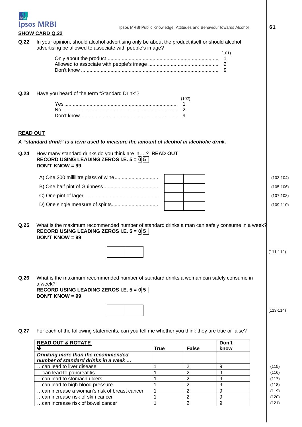

### **SHOW CARD Q.22**

|                 | SHUW CARD Q.ZZ                                                                                                                                                                                  |             |              |                          |             |
|-----------------|-------------------------------------------------------------------------------------------------------------------------------------------------------------------------------------------------|-------------|--------------|--------------------------|-------------|
| Q.22            | In your opinion, should alcohol advertising only be about the product itself or should alcohol<br>advertising be allowed to associate with people's image?                                      |             |              | (101)                    |             |
|                 |                                                                                                                                                                                                 |             |              | 1<br>$\overline{2}$<br>9 |             |
| Q.23            | Have you heard of the term "Standard Drink"?                                                                                                                                                    | -1          | (102)        |                          |             |
| <b>READ OUT</b> | A "standard drink" is a term used to measure the amount of alcohol in alcoholic drink.                                                                                                          |             |              |                          |             |
| Q.24            | How many standard drinks do you think are in? READ OUT<br>RECORD USING LEADING ZEROS I.E. $5 = 0.5$<br><b>DON'T KNOW = 99</b>                                                                   |             |              |                          |             |
|                 |                                                                                                                                                                                                 |             |              |                          | $(103-104)$ |
|                 |                                                                                                                                                                                                 |             |              |                          | $(105-106)$ |
|                 |                                                                                                                                                                                                 |             |              |                          | $(107-108)$ |
|                 |                                                                                                                                                                                                 |             |              |                          | $(109-110)$ |
| Q.25            | What is the maximum recommended number of standard drinks a man can safely consume in a week?<br>RECORD USING LEADING ZEROS I.E. $5 =  0 5$<br><b>DON'T KNOW = 99</b>                           |             |              |                          |             |
|                 |                                                                                                                                                                                                 |             |              |                          | $(111-112)$ |
| Q.26            | What is the maximum recommended number of standard drinks a woman can safely consume in<br>a week?<br>RECORD USING LEADING ZEROS I.E. $5 = \overline{0} \overline{5}$<br><b>DON'T KNOW = 99</b> |             |              |                          |             |
|                 |                                                                                                                                                                                                 |             |              |                          | $(113-114)$ |
| Q.27            | For each of the following statements, can you tell me whether you think they are true or false?                                                                                                 |             |              |                          |             |
|                 | <b>READ OUT &amp; ROTATE</b><br>J                                                                                                                                                               | <b>True</b> | <b>False</b> | Don't<br>know            |             |
|                 | Drinking more than the recommended<br>number of standard drinks in a week                                                                                                                       |             |              |                          |             |

…can lead to liver disease 1 2 9 (115) ... can lead to pancreatitis  $\begin{vmatrix} 1 & 2 & 9 \end{vmatrix}$  (116) …can lead to stomach ulcers 1 2 9 (117) ...can lead to high blood pressure<br>
...can increase a woman's risk of breast cancer  $\begin{array}{|c|c|c|c|c|}\n1 & 2 & 9 & \n\hline\n12 & 9 & & \n\end{array}$  (118) ...can increase a woman's risk of breast cancer  $\begin{vmatrix} 1 & 2 & 9 \end{vmatrix}$  (119) ...can increase risk of skin cancer  $\begin{vmatrix} 1 & 2 & 9 \end{vmatrix}$  (120) …can increase risk of bowel cancer 1 2 9 (121)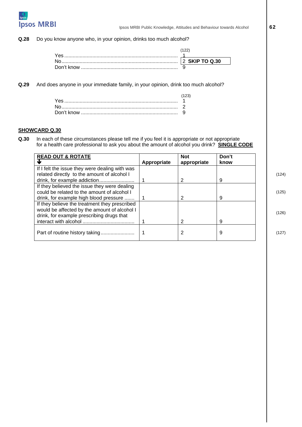

**Q.28** Do you know anyone who, in your opinion, drinks too much alcohol?

| Yes        |                     |
|------------|---------------------|
|            | <b>SKIP TO Q.30</b> |
| Don't know |                     |

**Q.29** And does anyone in your immediate family, in your opinion, drink too much alcohol?

#### **SHOWCARD Q.30**

**Q.30** In each of these circumstances please tell me if you feel it is appropriate or not appropriate for a health care professional to ask you about the amount of alcohol you drink? **SINGLE CODE** 

| <b>READ OUT &amp; ROTATE</b>                                                                                                               |             | <b>Not</b>  | Don't |       |
|--------------------------------------------------------------------------------------------------------------------------------------------|-------------|-------------|-------|-------|
|                                                                                                                                            | Appropriate | appropriate | know  |       |
| If I felt the issue they were dealing with was                                                                                             |             |             |       |       |
| related directly to the amount of alcohol I                                                                                                |             |             | 9     | (124) |
| If they believed the issue they were dealing<br>could be related to the amount of alcohol I                                                |             |             |       | (125) |
| drink, for example high blood pressure                                                                                                     |             | 2           | 9     |       |
| If they believe the treatment they prescribed<br>would be affected by the amount of alcohol I<br>drink, for example prescribing drugs that |             |             |       | (126) |
|                                                                                                                                            |             | 2           | 9     |       |
| Part of routine history taking                                                                                                             |             |             | 9     | (127) |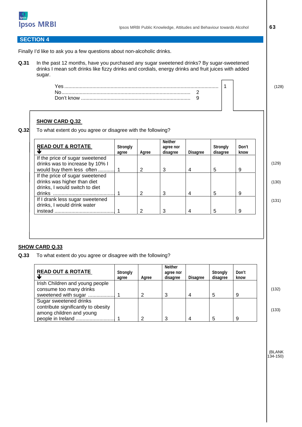

#### **SECTION 4**

Finally I'd like to ask you a few questions about non-alcoholic drinks.

**Q.31** In the past 12 months, have you purchased any sugar sweetened drinks? By sugar-sweetened drinks I mean soft drinks like fizzy drinks and cordials, energy drinks and fruit juices with added sugar.



#### **SHOW CARD Q.32**

**Q.32** To what extent do you agree or disagree with the following?

| <b>READ OUT &amp; ROTATE</b>                                                                     | Strongly<br>agree | Agree | <b>Neither</b><br>agree nor<br>disagree | <b>Disagree</b> | Strongly<br>disagree | Don't<br>know |
|--------------------------------------------------------------------------------------------------|-------------------|-------|-----------------------------------------|-----------------|----------------------|---------------|
| If the price of sugar sweetened                                                                  |                   |       |                                         |                 |                      |               |
| drinks was to increase by 10% I<br>would buy them less often                                     |                   | 2     | 3                                       | 4               | 5                    | 9             |
| If the price of sugar sweetened<br>drinks was higher than diet<br>drinks, I would switch to diet |                   |       |                                         |                 |                      |               |
|                                                                                                  |                   | 2     | 3                                       | 4               | 5                    | 9             |
| If I drank less sugar sweetened<br>drinks, I would drink water                                   |                   |       |                                         |                 |                      |               |
|                                                                                                  |                   | 2     | 3                                       | 4               | 5                    | 9             |

#### **SHOW CARD Q.33**

**Q.33** To what extent do you agree or disagree with the following?

| <b>READ OUT &amp; ROTATE</b>                    | Strongly<br>agree | Agree | <b>Neither</b><br>agree nor<br>disagree | <b>Disagree</b> | Strongly<br>disagree | Don't<br>know |
|-------------------------------------------------|-------------------|-------|-----------------------------------------|-----------------|----------------------|---------------|
| Irish Children and young people                 |                   |       |                                         |                 |                      |               |
| consume too many drinks<br>sweetened with sugar |                   | າ     |                                         |                 |                      | 9             |
| Sugar sweetened drinks                          |                   |       |                                         |                 |                      |               |
| contribute significantly to obesity             |                   |       |                                         |                 |                      |               |
| among children and young                        |                   |       |                                         |                 |                      |               |
| people in Ireland                               |                   | റ     |                                         |                 |                      | 9             |

(132)

(133)

(BLANK 134-150)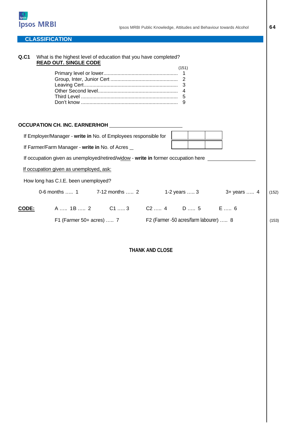

#### **CLASSIFICATION**

| Q.C1  | What is the highest level of education that you have completed?<br><b>READ OUT. SINGLE CODE</b> |                          | (151)<br>$\mathbf 1$                   |             |       |
|-------|-------------------------------------------------------------------------------------------------|--------------------------|----------------------------------------|-------------|-------|
|       | OCCUPATION CH. INC. EARNER/HOH                                                                  |                          |                                        |             |       |
|       | If Employer/Manager - write in No. of Employees responsible for                                 |                          |                                        |             |       |
|       | If Farmer/Farm Manager - write in No. of Acres                                                  |                          |                                        |             |       |
|       | If occupation given as unemployed/retired/widow - write in former occupation here               |                          |                                        |             |       |
|       | If occupation given as unemployed, ask:                                                         |                          |                                        |             |       |
|       | How long has C.I.E. been unemployed?                                                            |                          |                                        |             |       |
|       | 0-6 months  1 7-12 months  2                                                                    |                          | 1-2 years  3                           | 3+ years  4 | (152) |
| CODE: | A …… 1B …… 2                                                                                    | $C1$ 3                   | C2 4 D 5 E 6                           |             |       |
|       |                                                                                                 | F1 (Farmer 50+ acres)  7 | F2 (Farmer -50 acres/farm labourer)  8 |             | (153) |
|       |                                                                                                 |                          |                                        |             |       |

**THANK AND CLOSE**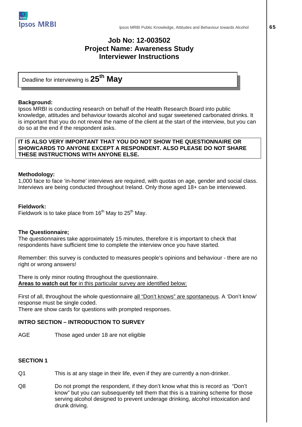

#### **Job No: 12-003502 Project Name: Awareness Study Interviewer Instructions**

Deadline for interviewing is **25th May**

#### **Background:**

Ipsos MRBI is conducting research on behalf of the Health Research Board into public knowledge, attitudes and behaviour towards alcohol and sugar sweetened carbonated drinks. It is important that you do not reveal the name of the client at the start of the interview, but you can do so at the end if the respondent asks.

#### **IT IS ALSO VERY IMPORTANT THAT YOU DO NOT SHOW THE QUESTIONNAIRE OR SHOWCARDS TO ANYONE EXCEPT A RESPONDENT. ALSO PLEASE DO NOT SHARE THESE INSTRUCTIONS WITH ANYONE ELSE.**

#### **Methodology:**

1,000 face to face 'in-home' interviews are required, with quotas on age, gender and social class. Interviews are being conducted throughout Ireland. Only those aged 18+ can be interviewed.

#### **Fieldwork:**

Fieldwork is to take place from  $16<sup>th</sup>$  May to  $25<sup>th</sup>$  May.

#### **The Questionnaire;**

The questionnaires take approximately 15 minutes, therefore it is important to check that respondents have sufficient time to complete the interview once you have started.

Remember: this survey is conducted to measures people's opinions and behaviour - there are no right or wrong answers!

There is only minor routing throughout the questionnaire. **Areas to watch out for** in this particular survey are identified below:

First of all, throughout the whole questionnaire all "Don't knows" are spontaneous. A 'Don't know' response must be single coded. There are show cards for questions with prompted responses.

#### **INTRO SECTION – INTRODUCTION TO SURVEY**

AGE Those aged under 18 are not eligible

#### **SECTION 1**

- Q1 This is at any stage in their life, even if they are currently a non-drinker.
- Q8 Do not prompt the respondent, if they don't know what this is record as "Don't know" but you can subsequently tell them that this is a training scheme for those serving alcohol designed to prevent underage drinking, alcohol intoxication and drunk driving.